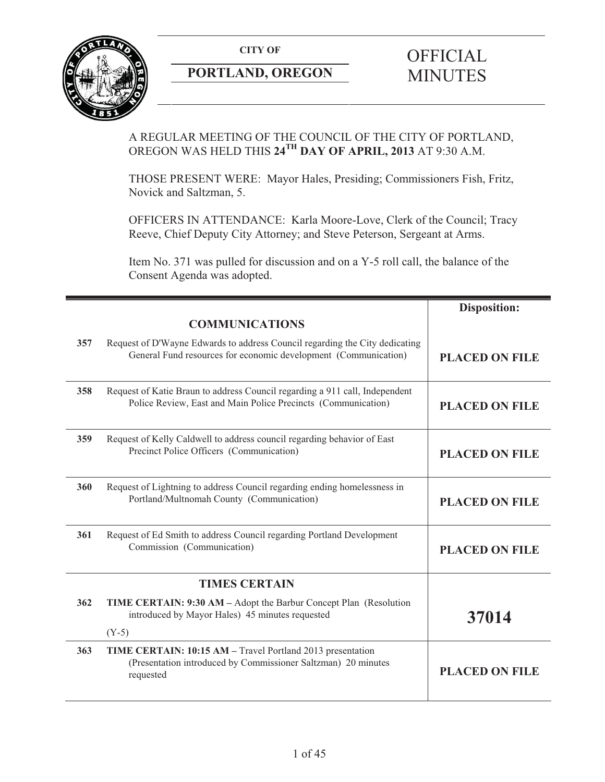**CITY OF** 



# **PORTLAND, OREGON**

# **OFFICIAL** MINUTES

# A REGULAR MEETING OF THE COUNCIL OF THE CITY OF PORTLAND, OREGON WAS HELD THIS **24TH DAY OF APRIL, 2013** AT 9:30 A.M.

THOSE PRESENT WERE: Mayor Hales, Presiding; Commissioners Fish, Fritz, Novick and Saltzman, 5.

OFFICERS IN ATTENDANCE: Karla Moore-Love, Clerk of the Council; Tracy Reeve, Chief Deputy City Attorney; and Steve Peterson, Sergeant at Arms.

Item No. 371 was pulled for discussion and on a Y-5 roll call, the balance of the Consent Agenda was adopted.

|     |                                                                                                                                                | <b>Disposition:</b>   |
|-----|------------------------------------------------------------------------------------------------------------------------------------------------|-----------------------|
|     | <b>COMMUNICATIONS</b>                                                                                                                          |                       |
| 357 | Request of D'Wayne Edwards to address Council regarding the City dedicating<br>General Fund resources for economic development (Communication) | <b>PLACED ON FILE</b> |
| 358 | Request of Katie Braun to address Council regarding a 911 call, Independent<br>Police Review, East and Main Police Precincts (Communication)   | <b>PLACED ON FILE</b> |
| 359 | Request of Kelly Caldwell to address council regarding behavior of East<br>Precinct Police Officers (Communication)                            | <b>PLACED ON FILE</b> |
| 360 | Request of Lightning to address Council regarding ending homelessness in<br>Portland/Multnomah County (Communication)                          | <b>PLACED ON FILE</b> |
| 361 | Request of Ed Smith to address Council regarding Portland Development<br>Commission (Communication)                                            | <b>PLACED ON FILE</b> |
|     | <b>TIMES CERTAIN</b>                                                                                                                           |                       |
| 362 | TIME CERTAIN: 9:30 AM - Adopt the Barbur Concept Plan (Resolution<br>introduced by Mayor Hales) 45 minutes requested                           | 37014                 |
|     | $(Y-5)$                                                                                                                                        |                       |
| 363 | TIME CERTAIN: 10:15 AM - Travel Portland 2013 presentation<br>(Presentation introduced by Commissioner Saltzman) 20 minutes<br>requested       | <b>PLACED ON FILE</b> |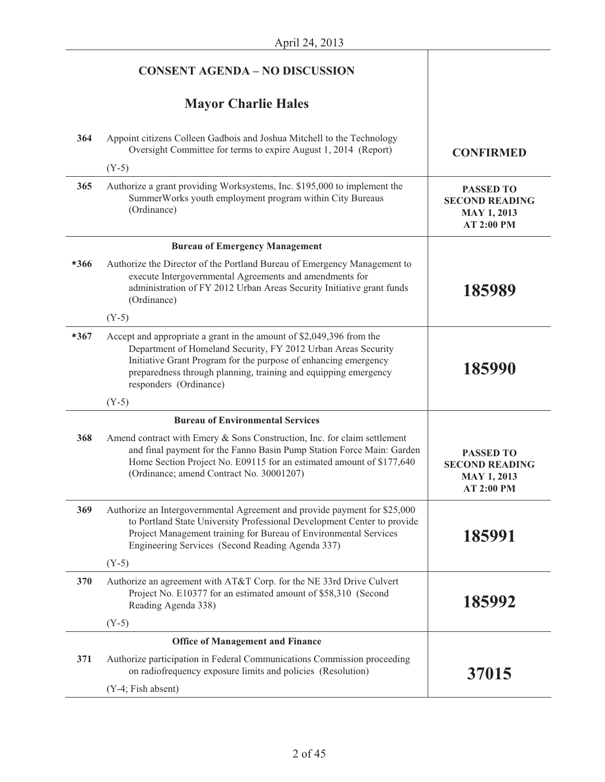|        | <b>CONSENT AGENDA - NO DISCUSSION</b>                                                                                                                                                                                                                                                                 |                                                                                      |
|--------|-------------------------------------------------------------------------------------------------------------------------------------------------------------------------------------------------------------------------------------------------------------------------------------------------------|--------------------------------------------------------------------------------------|
|        | <b>Mayor Charlie Hales</b>                                                                                                                                                                                                                                                                            |                                                                                      |
| 364    | Appoint citizens Colleen Gadbois and Joshua Mitchell to the Technology<br>Oversight Committee for terms to expire August 1, 2014 (Report)                                                                                                                                                             | <b>CONFIRMED</b>                                                                     |
|        | $(Y-5)$                                                                                                                                                                                                                                                                                               |                                                                                      |
| 365    | Authorize a grant providing Worksystems, Inc. \$195,000 to implement the<br>SummerWorks youth employment program within City Bureaus<br>(Ordinance)                                                                                                                                                   | <b>PASSED TO</b><br><b>SECOND READING</b><br><b>MAY 1, 2013</b><br><b>AT 2:00 PM</b> |
|        | <b>Bureau of Emergency Management</b>                                                                                                                                                                                                                                                                 |                                                                                      |
| $*366$ | Authorize the Director of the Portland Bureau of Emergency Management to<br>execute Intergovernmental Agreements and amendments for<br>administration of FY 2012 Urban Areas Security Initiative grant funds<br>(Ordinance)                                                                           | 185989                                                                               |
|        | $(Y-5)$                                                                                                                                                                                                                                                                                               |                                                                                      |
| $*367$ | Accept and appropriate a grant in the amount of \$2,049,396 from the<br>Department of Homeland Security, FY 2012 Urban Areas Security<br>Initiative Grant Program for the purpose of enhancing emergency<br>preparedness through planning, training and equipping emergency<br>responders (Ordinance) | 185990                                                                               |
|        | $(Y-5)$                                                                                                                                                                                                                                                                                               |                                                                                      |
|        | <b>Bureau of Environmental Services</b>                                                                                                                                                                                                                                                               |                                                                                      |
| 368    | Amend contract with Emery & Sons Construction, Inc. for claim settlement<br>and final payment for the Fanno Basin Pump Station Force Main: Garden<br>Home Section Project No. E09115 for an estimated amount of \$177,640<br>(Ordinance; amend Contract No. 30001207)                                 | <b>PASSED TO</b><br><b>SECOND READING</b><br><b>MAY 1, 2013</b><br><b>AT 2:00 PM</b> |
| 369    | Authorize an Intergovernmental Agreement and provide payment for \$25,000<br>to Portland State University Professional Development Center to provide<br>Project Management training for Bureau of Environmental Services<br>Engineering Services (Second Reading Agenda 337)                          | 185991                                                                               |
|        | $(Y-5)$                                                                                                                                                                                                                                                                                               |                                                                                      |
| 370    | Authorize an agreement with AT&T Corp. for the NE 33rd Drive Culvert<br>Project No. E10377 for an estimated amount of \$58,310 (Second<br>Reading Agenda 338)                                                                                                                                         | 185992                                                                               |
|        | $(Y-5)$                                                                                                                                                                                                                                                                                               |                                                                                      |
|        | <b>Office of Management and Finance</b>                                                                                                                                                                                                                                                               |                                                                                      |
| 371    | Authorize participation in Federal Communications Commission proceeding<br>on radiofrequency exposure limits and policies (Resolution)                                                                                                                                                                | 37015                                                                                |
|        | (Y-4; Fish absent)                                                                                                                                                                                                                                                                                    |                                                                                      |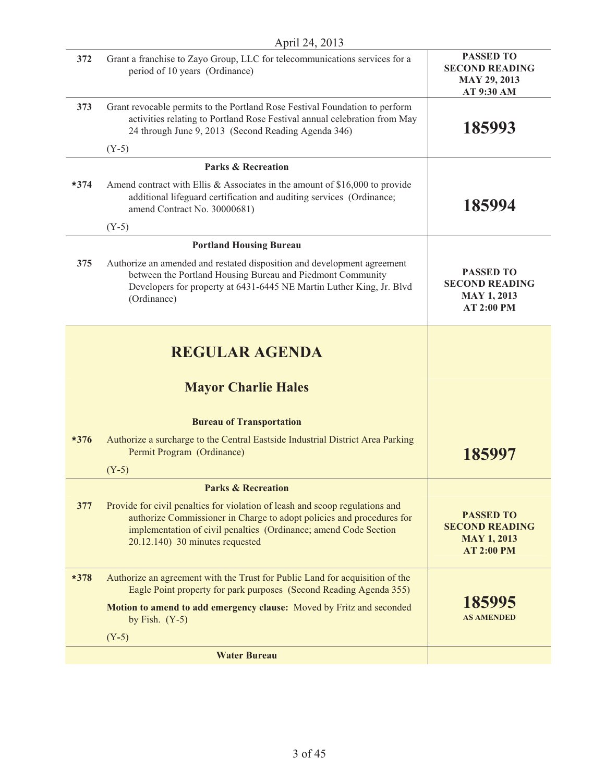| April 24, 2013 |                                                                                                                                                                                                                                                                 |                                                                                      |
|----------------|-----------------------------------------------------------------------------------------------------------------------------------------------------------------------------------------------------------------------------------------------------------------|--------------------------------------------------------------------------------------|
| 372            | Grant a franchise to Zayo Group, LLC for telecommunications services for a<br>period of 10 years (Ordinance)                                                                                                                                                    | <b>PASSED TO</b><br><b>SECOND READING</b><br><b>MAY 29, 2013</b><br>AT 9:30 AM       |
| 373            | Grant revocable permits to the Portland Rose Festival Foundation to perform<br>activities relating to Portland Rose Festival annual celebration from May<br>24 through June 9, 2013 (Second Reading Agenda 346)                                                 | 185993                                                                               |
|                | $(Y-5)$                                                                                                                                                                                                                                                         |                                                                                      |
|                | <b>Parks &amp; Recreation</b>                                                                                                                                                                                                                                   |                                                                                      |
| $*374$         | Amend contract with Ellis $&$ Associates in the amount of \$16,000 to provide<br>additional lifeguard certification and auditing services (Ordinance;<br>amend Contract No. 30000681)                                                                           | 185994                                                                               |
|                | $(Y-5)$                                                                                                                                                                                                                                                         |                                                                                      |
|                | <b>Portland Housing Bureau</b>                                                                                                                                                                                                                                  |                                                                                      |
| 375            | Authorize an amended and restated disposition and development agreement<br>between the Portland Housing Bureau and Piedmont Community<br>Developers for property at 6431-6445 NE Martin Luther King, Jr. Blvd<br>(Ordinance)                                    | <b>PASSED TO</b><br><b>SECOND READING</b><br><b>MAY 1, 2013</b><br><b>AT 2:00 PM</b> |
|                | <b>REGULAR AGENDA</b><br><b>Mayor Charlie Hales</b>                                                                                                                                                                                                             |                                                                                      |
|                | <b>Bureau of Transportation</b>                                                                                                                                                                                                                                 |                                                                                      |
| $*376$         | Authorize a surcharge to the Central Eastside Industrial District Area Parking<br>Permit Program (Ordinance)<br>$(Y-5)$                                                                                                                                         | 185997                                                                               |
|                | <b>Parks &amp; Recreation</b>                                                                                                                                                                                                                                   |                                                                                      |
| 377            | Provide for civil penalties for violation of leash and scoop regulations and<br>authorize Commissioner in Charge to adopt policies and procedures for<br>implementation of civil penalties (Ordinance; amend Code Section<br>$20.12.140$ ) 30 minutes requested | <b>PASSED TO</b><br><b>SECOND READING</b><br><b>MAY 1, 2013</b><br><b>AT 2:00 PM</b> |
| *378           | Authorize an agreement with the Trust for Public Land for acquisition of the<br>Eagle Point property for park purposes (Second Reading Agenda 355)                                                                                                              | 185995<br><b>AS AMENDED</b>                                                          |
|                | Motion to amend to add emergency clause: Moved by Fritz and seconded<br>by Fish. $(Y-5)$                                                                                                                                                                        |                                                                                      |
|                | $(Y-5)$                                                                                                                                                                                                                                                         |                                                                                      |
|                | <b>Water Bureau</b>                                                                                                                                                                                                                                             |                                                                                      |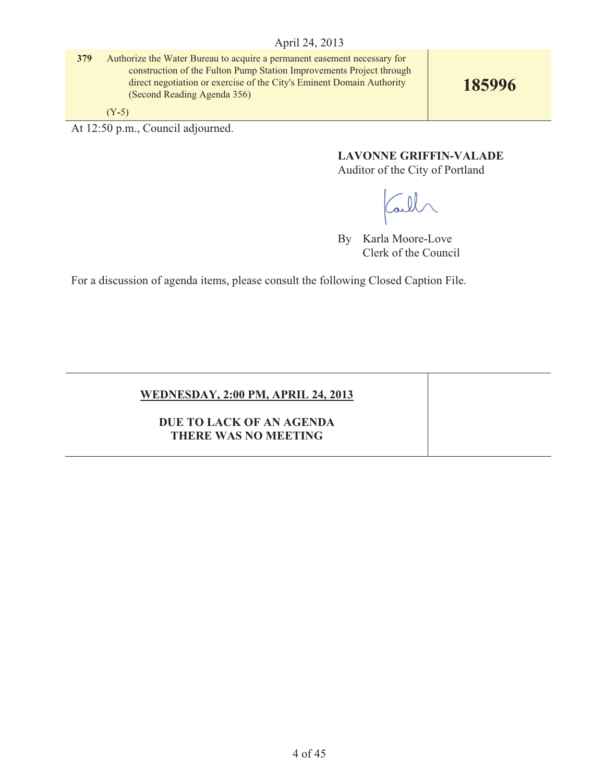**379** Authorize the Water Bureau to acquire a permanent easement necessary for construction of the Fulton Pump Station Improvements Project through direct negotiation or exercise of the City's Eminent Domain Authority (Second Reading Agenda 356)

**185996**

(Y**-**5)

At 12:50 p.m., Council adjourned.

**LAVONNE GRIFFIN-VALADE** 

Auditor of the City of Portland

all

By Karla Moore-Love Clerk of the Council

For a discussion of agenda items, please consult the following Closed Caption File.

# **WEDNESDAY, 2:00 PM, APRIL 24, 2013**

**DUE TO LACK OF AN AGENDA THERE WAS NO MEETING**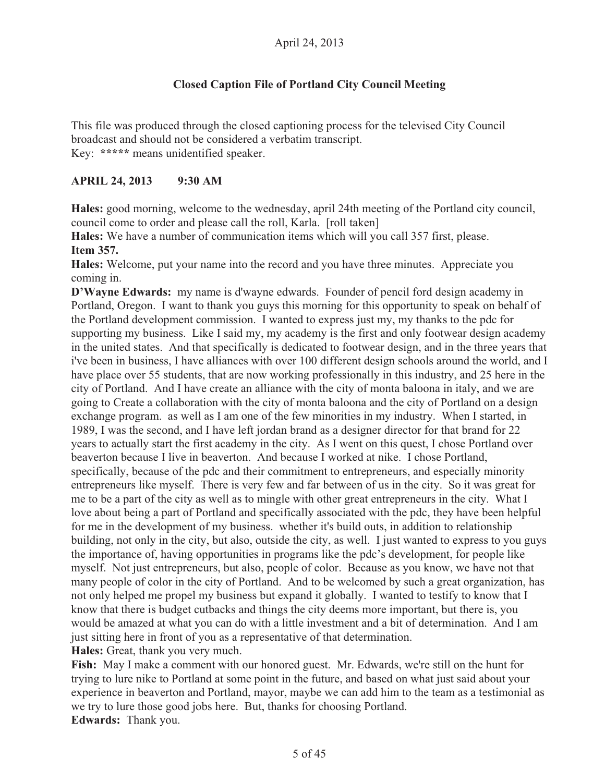# **Closed Caption File of Portland City Council Meeting**

This file was produced through the closed captioning process for the televised City Council broadcast and should not be considered a verbatim transcript. Key: **\*\*\*\*\*** means unidentified speaker.

# **APRIL 24, 2013 9:30 AM**

**Hales:** good morning, welcome to the wednesday, april 24th meeting of the Portland city council, council come to order and please call the roll, Karla. [roll taken]

**Hales:** We have a number of communication items which will you call 357 first, please. **Item 357.**

**Hales:** Welcome, put your name into the record and you have three minutes. Appreciate you coming in.

**D'Wayne Edwards:** my name is d'wayne edwards. Founder of pencil ford design academy in Portland, Oregon. I want to thank you guys this morning for this opportunity to speak on behalf of the Portland development commission. I wanted to express just my, my thanks to the pdc for supporting my business. Like I said my, my academy is the first and only footwear design academy in the united states. And that specifically is dedicated to footwear design, and in the three years that i've been in business, I have alliances with over 100 different design schools around the world, and I have place over 55 students, that are now working professionally in this industry, and 25 here in the city of Portland. And I have create an alliance with the city of monta baloona in italy, and we are going to Create a collaboration with the city of monta baloona and the city of Portland on a design exchange program. as well as I am one of the few minorities in my industry. When I started, in 1989, I was the second, and I have left jordan brand as a designer director for that brand for 22 years to actually start the first academy in the city. As I went on this quest, I chose Portland over beaverton because I live in beaverton. And because I worked at nike. I chose Portland, specifically, because of the pdc and their commitment to entrepreneurs, and especially minority entrepreneurs like myself. There is very few and far between of us in the city. So it was great for me to be a part of the city as well as to mingle with other great entrepreneurs in the city. What I love about being a part of Portland and specifically associated with the pdc, they have been helpful for me in the development of my business. whether it's build outs, in addition to relationship building, not only in the city, but also, outside the city, as well. I just wanted to express to you guys the importance of, having opportunities in programs like the pdc's development, for people like myself. Not just entrepreneurs, but also, people of color. Because as you know, we have not that many people of color in the city of Portland. And to be welcomed by such a great organization, has not only helped me propel my business but expand it globally. I wanted to testify to know that I know that there is budget cutbacks and things the city deems more important, but there is, you would be amazed at what you can do with a little investment and a bit of determination. And I am just sitting here in front of you as a representative of that determination.

**Hales:** Great, thank you very much.

**Fish:** May I make a comment with our honored guest. Mr. Edwards, we're still on the hunt for trying to lure nike to Portland at some point in the future, and based on what just said about your experience in beaverton and Portland, mayor, maybe we can add him to the team as a testimonial as we try to lure those good jobs here. But, thanks for choosing Portland. **Edwards:** Thank you.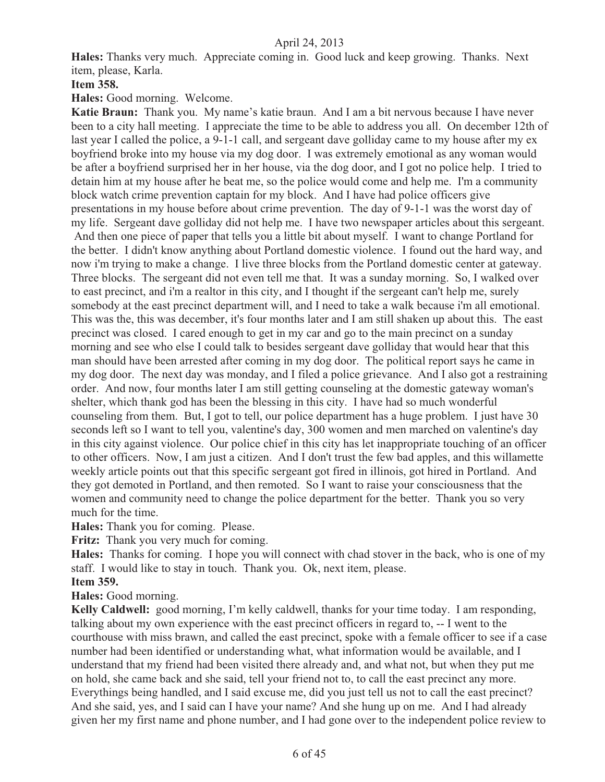**Hales:** Thanks very much. Appreciate coming in. Good luck and keep growing. Thanks. Next item, please, Karla.

## **Item 358.**

**Hales:** Good morning. Welcome.

**Katie Braun:** Thank you. My name's katie braun. And I am a bit nervous because I have never been to a city hall meeting. I appreciate the time to be able to address you all. On december 12th of last year I called the police, a 9-1-1 call, and sergeant dave golliday came to my house after my ex boyfriend broke into my house via my dog door. I was extremely emotional as any woman would be after a boyfriend surprised her in her house, via the dog door, and I got no police help. I tried to detain him at my house after he beat me, so the police would come and help me. I'm a community block watch crime prevention captain for my block. And I have had police officers give presentations in my house before about crime prevention. The day of 9-1-1 was the worst day of my life. Sergeant dave golliday did not help me. I have two newspaper articles about this sergeant. And then one piece of paper that tells you a little bit about myself. I want to change Portland for the better. I didn't know anything about Portland domestic violence. I found out the hard way, and now i'm trying to make a change. I live three blocks from the Portland domestic center at gateway. Three blocks. The sergeant did not even tell me that. It was a sunday morning. So, I walked over to east precinct, and i'm a realtor in this city, and I thought if the sergeant can't help me, surely somebody at the east precinct department will, and I need to take a walk because i'm all emotional. This was the, this was december, it's four months later and I am still shaken up about this. The east precinct was closed. I cared enough to get in my car and go to the main precinct on a sunday morning and see who else I could talk to besides sergeant dave golliday that would hear that this man should have been arrested after coming in my dog door. The political report says he came in my dog door. The next day was monday, and I filed a police grievance. And I also got a restraining order. And now, four months later I am still getting counseling at the domestic gateway woman's shelter, which thank god has been the blessing in this city. I have had so much wonderful counseling from them. But, I got to tell, our police department has a huge problem. I just have 30 seconds left so I want to tell you, valentine's day, 300 women and men marched on valentine's day in this city against violence. Our police chief in this city has let inappropriate touching of an officer to other officers. Now, I am just a citizen. And I don't trust the few bad apples, and this willamette weekly article points out that this specific sergeant got fired in illinois, got hired in Portland. And they got demoted in Portland, and then remoted. So I want to raise your consciousness that the women and community need to change the police department for the better. Thank you so very much for the time.

**Hales:** Thank you for coming. Please.

**Fritz:** Thank you very much for coming.

**Hales:** Thanks for coming. I hope you will connect with chad stover in the back, who is one of my staff. I would like to stay in touch. Thank you. Ok, next item, please.

**Item 359.**

**Hales:** Good morning.

**Kelly Caldwell:** good morning, I'm kelly caldwell, thanks for your time today. I am responding, talking about my own experience with the east precinct officers in regard to, -- I went to the courthouse with miss brawn, and called the east precinct, spoke with a female officer to see if a case number had been identified or understanding what, what information would be available, and I understand that my friend had been visited there already and, and what not, but when they put me on hold, she came back and she said, tell your friend not to, to call the east precinct any more. Everythings being handled, and I said excuse me, did you just tell us not to call the east precinct? And she said, yes, and I said can I have your name? And she hung up on me. And I had already given her my first name and phone number, and I had gone over to the independent police review to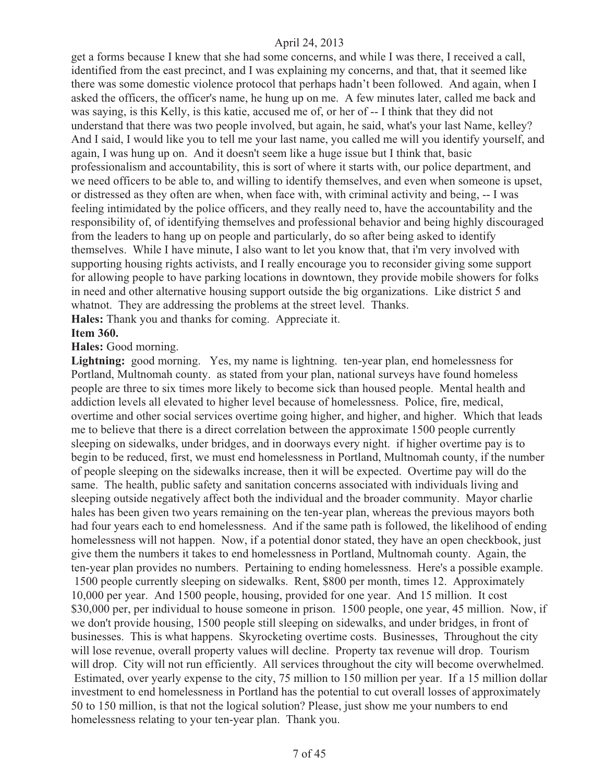get a forms because I knew that she had some concerns, and while I was there, I received a call, identified from the east precinct, and I was explaining my concerns, and that, that it seemed like there was some domestic violence protocol that perhaps hadn't been followed. And again, when I asked the officers, the officer's name, he hung up on me. A few minutes later, called me back and was saying, is this Kelly, is this katie, accused me of, or her of -- I think that they did not understand that there was two people involved, but again, he said, what's your last Name, kelley? And I said, I would like you to tell me your last name, you called me will you identify yourself, and again, I was hung up on. And it doesn't seem like a huge issue but I think that, basic professionalism and accountability, this is sort of where it starts with, our police department, and we need officers to be able to, and willing to identify themselves, and even when someone is upset, or distressed as they often are when, when face with, with criminal activity and being, -- I was feeling intimidated by the police officers, and they really need to, have the accountability and the responsibility of, of identifying themselves and professional behavior and being highly discouraged from the leaders to hang up on people and particularly, do so after being asked to identify themselves. While I have minute, I also want to let you know that, that i'm very involved with supporting housing rights activists, and I really encourage you to reconsider giving some support for allowing people to have parking locations in downtown, they provide mobile showers for folks in need and other alternative housing support outside the big organizations. Like district 5 and whatnot. They are addressing the problems at the street level. Thanks.

**Hales:** Thank you and thanks for coming. Appreciate it.

#### **Item 360.**

**Hales:** Good morning.

Lightning: good morning. Yes, my name is lightning. ten-year plan, end homelessness for Portland, Multnomah county. as stated from your plan, national surveys have found homeless people are three to six times more likely to become sick than housed people. Mental health and addiction levels all elevated to higher level because of homelessness. Police, fire, medical, overtime and other social services overtime going higher, and higher, and higher. Which that leads me to believe that there is a direct correlation between the approximate 1500 people currently sleeping on sidewalks, under bridges, and in doorways every night. if higher overtime pay is to begin to be reduced, first, we must end homelessness in Portland, Multnomah county, if the number of people sleeping on the sidewalks increase, then it will be expected. Overtime pay will do the same. The health, public safety and sanitation concerns associated with individuals living and sleeping outside negatively affect both the individual and the broader community. Mayor charlie hales has been given two years remaining on the ten-year plan, whereas the previous mayors both had four years each to end homelessness. And if the same path is followed, the likelihood of ending homelessness will not happen. Now, if a potential donor stated, they have an open checkbook, just give them the numbers it takes to end homelessness in Portland, Multnomah county. Again, the ten-year plan provides no numbers. Pertaining to ending homelessness. Here's a possible example. 1500 people currently sleeping on sidewalks. Rent, \$800 per month, times 12. Approximately 10,000 per year. And 1500 people, housing, provided for one year. And 15 million. It cost \$30,000 per, per individual to house someone in prison. 1500 people, one year, 45 million. Now, if we don't provide housing, 1500 people still sleeping on sidewalks, and under bridges, in front of businesses. This is what happens. Skyrocketing overtime costs. Businesses, Throughout the city will lose revenue, overall property values will decline. Property tax revenue will drop. Tourism will drop. City will not run efficiently. All services throughout the city will become overwhelmed. Estimated, over yearly expense to the city, 75 million to 150 million per year. If a 15 million dollar investment to end homelessness in Portland has the potential to cut overall losses of approximately 50 to 150 million, is that not the logical solution? Please, just show me your numbers to end homelessness relating to your ten-year plan. Thank you.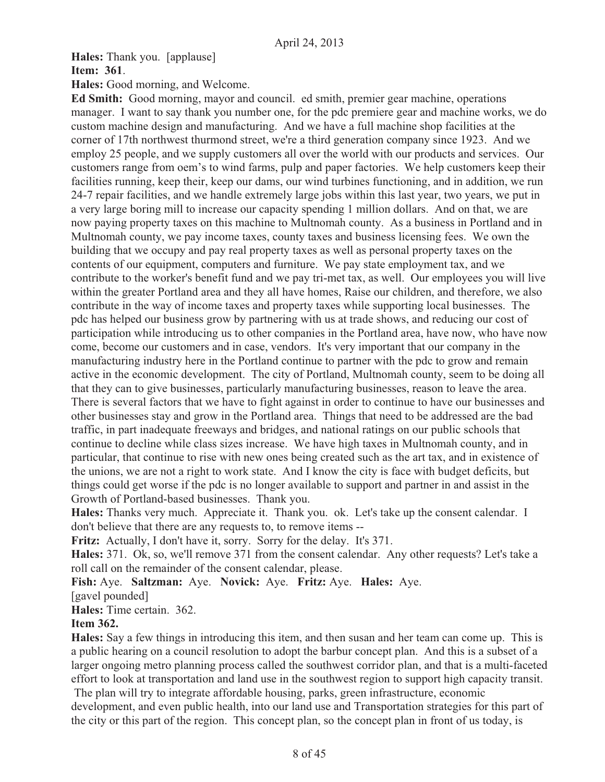**Hales:** Thank you. [applause]

#### **Item: 361**.

**Hales:** Good morning, and Welcome.

**Ed Smith:** Good morning, mayor and council. ed smith, premier gear machine, operations manager. I want to say thank you number one, for the pdc premiere gear and machine works, we do custom machine design and manufacturing. And we have a full machine shop facilities at the corner of 17th northwest thurmond street, we're a third generation company since 1923. And we employ 25 people, and we supply customers all over the world with our products and services. Our customers range from oem's to wind farms, pulp and paper factories. We help customers keep their facilities running, keep their, keep our dams, our wind turbines functioning, and in addition, we run 24-7 repair facilities, and we handle extremely large jobs within this last year, two years, we put in a very large boring mill to increase our capacity spending 1 million dollars. And on that, we are now paying property taxes on this machine to Multnomah county. As a business in Portland and in Multnomah county, we pay income taxes, county taxes and business licensing fees. We own the building that we occupy and pay real property taxes as well as personal property taxes on the contents of our equipment, computers and furniture. We pay state employment tax, and we contribute to the worker's benefit fund and we pay tri-met tax, as well. Our employees you will live within the greater Portland area and they all have homes, Raise our children, and therefore, we also contribute in the way of income taxes and property taxes while supporting local businesses. The pdc has helped our business grow by partnering with us at trade shows, and reducing our cost of participation while introducing us to other companies in the Portland area, have now, who have now come, become our customers and in case, vendors. It's very important that our company in the manufacturing industry here in the Portland continue to partner with the pdc to grow and remain active in the economic development. The city of Portland, Multnomah county, seem to be doing all that they can to give businesses, particularly manufacturing businesses, reason to leave the area. There is several factors that we have to fight against in order to continue to have our businesses and other businesses stay and grow in the Portland area. Things that need to be addressed are the bad traffic, in part inadequate freeways and bridges, and national ratings on our public schools that continue to decline while class sizes increase. We have high taxes in Multnomah county, and in particular, that continue to rise with new ones being created such as the art tax, and in existence of the unions, we are not a right to work state. And I know the city is face with budget deficits, but things could get worse if the pdc is no longer available to support and partner in and assist in the Growth of Portland-based businesses. Thank you.

**Hales:** Thanks very much. Appreciate it. Thank you. ok. Let's take up the consent calendar. I don't believe that there are any requests to, to remove items --

**Fritz:** Actually, I don't have it, sorry. Sorry for the delay. It's 371.

**Hales:** 371. Ok, so, we'll remove 371 from the consent calendar. Any other requests? Let's take a roll call on the remainder of the consent calendar, please.

**Fish:** Aye. **Saltzman:** Aye. **Novick:** Aye. **Fritz:** Aye. **Hales:** Aye.

[gavel pounded]

**Hales:** Time certain. 362.

## **Item 362.**

**Hales:** Say a few things in introducing this item, and then susan and her team can come up. This is a public hearing on a council resolution to adopt the barbur concept plan. And this is a subset of a larger ongoing metro planning process called the southwest corridor plan, and that is a multi-faceted effort to look at transportation and land use in the southwest region to support high capacity transit.

 The plan will try to integrate affordable housing, parks, green infrastructure, economic development, and even public health, into our land use and Transportation strategies for this part of the city or this part of the region. This concept plan, so the concept plan in front of us today, is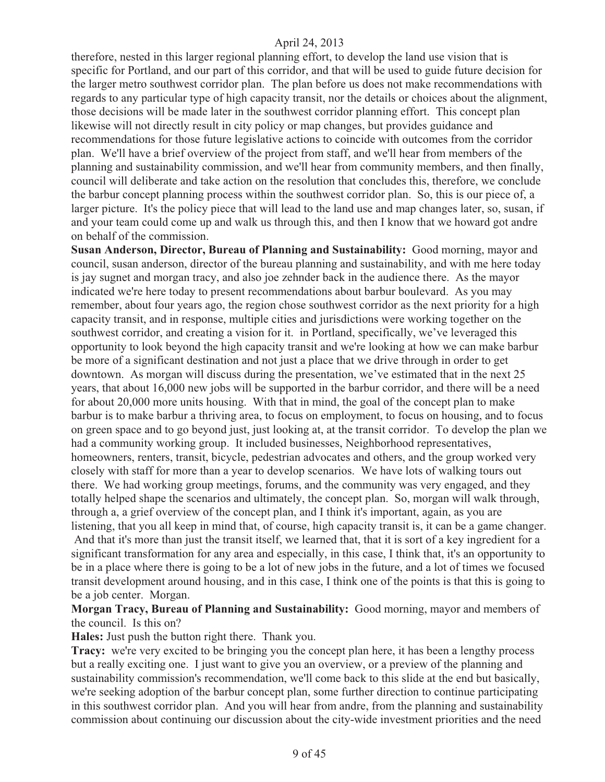therefore, nested in this larger regional planning effort, to develop the land use vision that is specific for Portland, and our part of this corridor, and that will be used to guide future decision for the larger metro southwest corridor plan. The plan before us does not make recommendations with regards to any particular type of high capacity transit, nor the details or choices about the alignment, those decisions will be made later in the southwest corridor planning effort. This concept plan likewise will not directly result in city policy or map changes, but provides guidance and recommendations for those future legislative actions to coincide with outcomes from the corridor plan. We'll have a brief overview of the project from staff, and we'll hear from members of the planning and sustainability commission, and we'll hear from community members, and then finally, council will deliberate and take action on the resolution that concludes this, therefore, we conclude the barbur concept planning process within the southwest corridor plan. So, this is our piece of, a larger picture. It's the policy piece that will lead to the land use and map changes later, so, susan, if and your team could come up and walk us through this, and then I know that we howard got andre on behalf of the commission.

**Susan Anderson, Director, Bureau of Planning and Sustainability:** Good morning, mayor and council, susan anderson, director of the bureau planning and sustainability, and with me here today is jay sugnet and morgan tracy, and also joe zehnder back in the audience there. As the mayor indicated we're here today to present recommendations about barbur boulevard. As you may remember, about four years ago, the region chose southwest corridor as the next priority for a high capacity transit, and in response, multiple cities and jurisdictions were working together on the southwest corridor, and creating a vision for it. in Portland, specifically, we've leveraged this opportunity to look beyond the high capacity transit and we're looking at how we can make barbur be more of a significant destination and not just a place that we drive through in order to get downtown. As morgan will discuss during the presentation, we've estimated that in the next 25 years, that about 16,000 new jobs will be supported in the barbur corridor, and there will be a need for about 20,000 more units housing. With that in mind, the goal of the concept plan to make barbur is to make barbur a thriving area, to focus on employment, to focus on housing, and to focus on green space and to go beyond just, just looking at, at the transit corridor. To develop the plan we had a community working group. It included businesses, Neighborhood representatives, homeowners, renters, transit, bicycle, pedestrian advocates and others, and the group worked very closely with staff for more than a year to develop scenarios. We have lots of walking tours out there. We had working group meetings, forums, and the community was very engaged, and they totally helped shape the scenarios and ultimately, the concept plan. So, morgan will walk through, through a, a grief overview of the concept plan, and I think it's important, again, as you are listening, that you all keep in mind that, of course, high capacity transit is, it can be a game changer. And that it's more than just the transit itself, we learned that, that it is sort of a key ingredient for a

significant transformation for any area and especially, in this case, I think that, it's an opportunity to be in a place where there is going to be a lot of new jobs in the future, and a lot of times we focused transit development around housing, and in this case, I think one of the points is that this is going to be a job center. Morgan.

**Morgan Tracy, Bureau of Planning and Sustainability:** Good morning, mayor and members of the council. Is this on?

**Hales:** Just push the button right there. Thank you.

**Tracy:** we're very excited to be bringing you the concept plan here, it has been a lengthy process but a really exciting one. I just want to give you an overview, or a preview of the planning and sustainability commission's recommendation, we'll come back to this slide at the end but basically, we're seeking adoption of the barbur concept plan, some further direction to continue participating in this southwest corridor plan. And you will hear from andre, from the planning and sustainability commission about continuing our discussion about the city-wide investment priorities and the need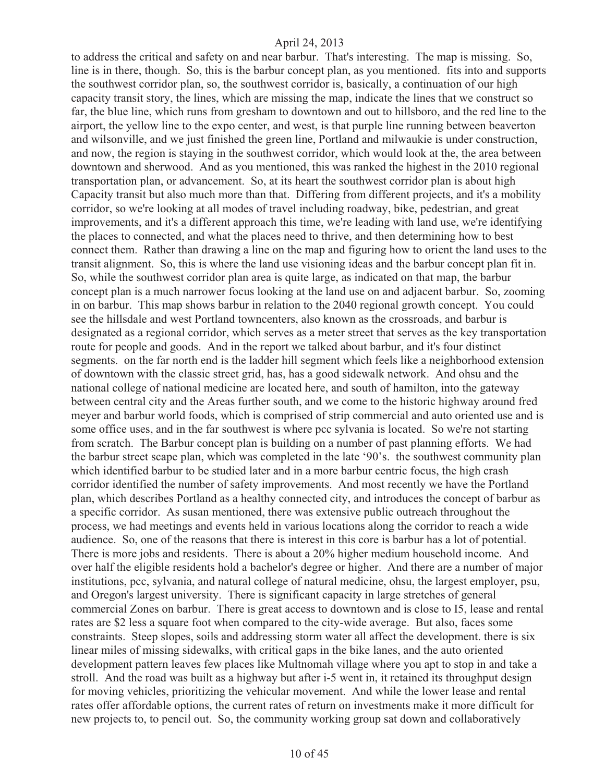to address the critical and safety on and near barbur. That's interesting. The map is missing. So, line is in there, though. So, this is the barbur concept plan, as you mentioned. fits into and supports the southwest corridor plan, so, the southwest corridor is, basically, a continuation of our high capacity transit story, the lines, which are missing the map, indicate the lines that we construct so far, the blue line, which runs from gresham to downtown and out to hillsboro, and the red line to the airport, the yellow line to the expo center, and west, is that purple line running between beaverton and wilsonville, and we just finished the green line, Portland and milwaukie is under construction, and now, the region is staying in the southwest corridor, which would look at the, the area between downtown and sherwood. And as you mentioned, this was ranked the highest in the 2010 regional transportation plan, or advancement. So, at its heart the southwest corridor plan is about high Capacity transit but also much more than that. Differing from different projects, and it's a mobility corridor, so we're looking at all modes of travel including roadway, bike, pedestrian, and great improvements, and it's a different approach this time, we're leading with land use, we're identifying the places to connected, and what the places need to thrive, and then determining how to best connect them. Rather than drawing a line on the map and figuring how to orient the land uses to the transit alignment. So, this is where the land use visioning ideas and the barbur concept plan fit in. So, while the southwest corridor plan area is quite large, as indicated on that map, the barbur concept plan is a much narrower focus looking at the land use on and adjacent barbur. So, zooming in on barbur. This map shows barbur in relation to the 2040 regional growth concept. You could see the hillsdale and west Portland towncenters, also known as the crossroads, and barbur is designated as a regional corridor, which serves as a meter street that serves as the key transportation route for people and goods. And in the report we talked about barbur, and it's four distinct segments. on the far north end is the ladder hill segment which feels like a neighborhood extension of downtown with the classic street grid, has, has a good sidewalk network. And ohsu and the national college of national medicine are located here, and south of hamilton, into the gateway between central city and the Areas further south, and we come to the historic highway around fred meyer and barbur world foods, which is comprised of strip commercial and auto oriented use and is some office uses, and in the far southwest is where pcc sylvania is located. So we're not starting from scratch. The Barbur concept plan is building on a number of past planning efforts. We had the barbur street scape plan, which was completed in the late '90's. the southwest community plan which identified barbur to be studied later and in a more barbur centric focus, the high crash corridor identified the number of safety improvements. And most recently we have the Portland plan, which describes Portland as a healthy connected city, and introduces the concept of barbur as a specific corridor. As susan mentioned, there was extensive public outreach throughout the process, we had meetings and events held in various locations along the corridor to reach a wide audience. So, one of the reasons that there is interest in this core is barbur has a lot of potential. There is more jobs and residents. There is about a 20% higher medium household income. And over half the eligible residents hold a bachelor's degree or higher. And there are a number of major institutions, pcc, sylvania, and natural college of natural medicine, ohsu, the largest employer, psu, and Oregon's largest university. There is significant capacity in large stretches of general commercial Zones on barbur. There is great access to downtown and is close to I5, lease and rental rates are \$2 less a square foot when compared to the city-wide average. But also, faces some constraints. Steep slopes, soils and addressing storm water all affect the development. there is six linear miles of missing sidewalks, with critical gaps in the bike lanes, and the auto oriented development pattern leaves few places like Multnomah village where you apt to stop in and take a stroll. And the road was built as a highway but after i-5 went in, it retained its throughput design for moving vehicles, prioritizing the vehicular movement. And while the lower lease and rental rates offer affordable options, the current rates of return on investments make it more difficult for new projects to, to pencil out. So, the community working group sat down and collaboratively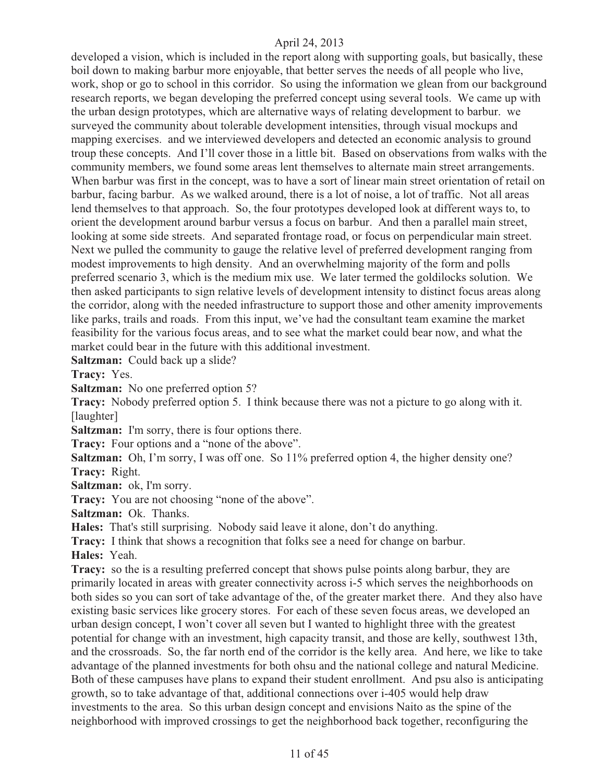developed a vision, which is included in the report along with supporting goals, but basically, these boil down to making barbur more enjoyable, that better serves the needs of all people who live, work, shop or go to school in this corridor. So using the information we glean from our background research reports, we began developing the preferred concept using several tools. We came up with the urban design prototypes, which are alternative ways of relating development to barbur. we surveyed the community about tolerable development intensities, through visual mockups and mapping exercises. and we interviewed developers and detected an economic analysis to ground troup these concepts. And I'll cover those in a little bit. Based on observations from walks with the community members, we found some areas lent themselves to alternate main street arrangements. When barbur was first in the concept, was to have a sort of linear main street orientation of retail on barbur, facing barbur. As we walked around, there is a lot of noise, a lot of traffic. Not all areas lend themselves to that approach. So, the four prototypes developed look at different ways to, to orient the development around barbur versus a focus on barbur. And then a parallel main street, looking at some side streets. And separated frontage road, or focus on perpendicular main street. Next we pulled the community to gauge the relative level of preferred development ranging from modest improvements to high density. And an overwhelming majority of the form and polls preferred scenario 3, which is the medium mix use. We later termed the goldilocks solution. We then asked participants to sign relative levels of development intensity to distinct focus areas along the corridor, along with the needed infrastructure to support those and other amenity improvements like parks, trails and roads. From this input, we've had the consultant team examine the market feasibility for the various focus areas, and to see what the market could bear now, and what the market could bear in the future with this additional investment.

**Saltzman:** Could back up a slide?

**Tracy:** Yes.

**Saltzman:** No one preferred option 5?

**Tracy:** Nobody preferred option 5. I think because there was not a picture to go along with it. [laughter]

Saltzman: I'm sorry, there is four options there.

**Tracy:** Four options and a "none of the above".

**Saltzman:** Oh, I'm sorry, I was off one. So 11% preferred option 4, the higher density one? **Tracy:** Right.

**Saltzman:** ok, I'm sorry.

**Tracy:** You are not choosing "none of the above".

**Saltzman:** Ok. Thanks.

**Hales:** That's still surprising. Nobody said leave it alone, don't do anything.

**Tracy:** I think that shows a recognition that folks see a need for change on barbur.

**Hales:** Yeah.

**Tracy:** so the is a resulting preferred concept that shows pulse points along barbur, they are primarily located in areas with greater connectivity across i-5 which serves the neighborhoods on both sides so you can sort of take advantage of the, of the greater market there. And they also have existing basic services like grocery stores. For each of these seven focus areas, we developed an urban design concept, I won't cover all seven but I wanted to highlight three with the greatest potential for change with an investment, high capacity transit, and those are kelly, southwest 13th, and the crossroads. So, the far north end of the corridor is the kelly area. And here, we like to take advantage of the planned investments for both ohsu and the national college and natural Medicine. Both of these campuses have plans to expand their student enrollment. And psu also is anticipating growth, so to take advantage of that, additional connections over i-405 would help draw investments to the area. So this urban design concept and envisions Naito as the spine of the neighborhood with improved crossings to get the neighborhood back together, reconfiguring the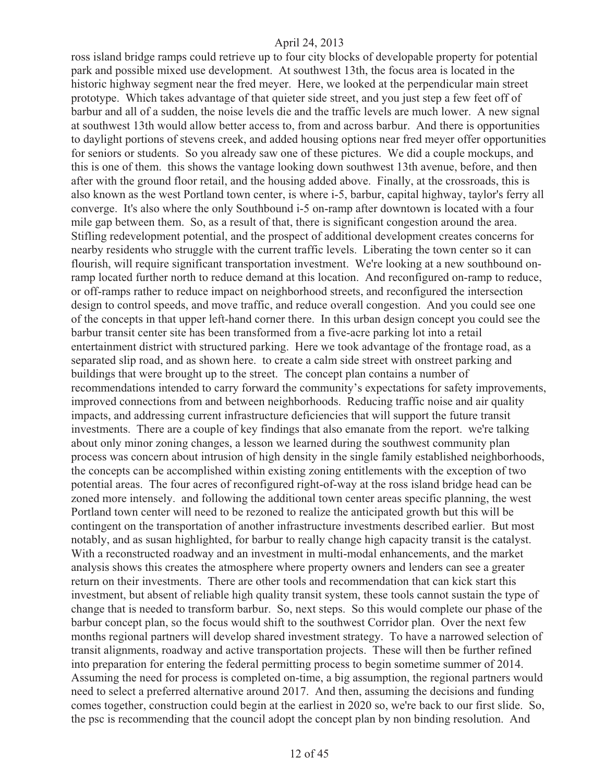ross island bridge ramps could retrieve up to four city blocks of developable property for potential park and possible mixed use development. At southwest 13th, the focus area is located in the historic highway segment near the fred meyer. Here, we looked at the perpendicular main street prototype. Which takes advantage of that quieter side street, and you just step a few feet off of barbur and all of a sudden, the noise levels die and the traffic levels are much lower. A new signal at southwest 13th would allow better access to, from and across barbur. And there is opportunities to daylight portions of stevens creek, and added housing options near fred meyer offer opportunities for seniors or students. So you already saw one of these pictures. We did a couple mockups, and this is one of them. this shows the vantage looking down southwest 13th avenue, before, and then after with the ground floor retail, and the housing added above. Finally, at the crossroads, this is also known as the west Portland town center, is where i-5, barbur, capital highway, taylor's ferry all converge. It's also where the only Southbound i-5 on-ramp after downtown is located with a four mile gap between them. So, as a result of that, there is significant congestion around the area. Stifling redevelopment potential, and the prospect of additional development creates concerns for nearby residents who struggle with the current traffic levels. Liberating the town center so it can flourish, will require significant transportation investment. We're looking at a new southbound onramp located further north to reduce demand at this location. And reconfigured on-ramp to reduce, or off-ramps rather to reduce impact on neighborhood streets, and reconfigured the intersection design to control speeds, and move traffic, and reduce overall congestion. And you could see one of the concepts in that upper left-hand corner there. In this urban design concept you could see the barbur transit center site has been transformed from a five-acre parking lot into a retail entertainment district with structured parking. Here we took advantage of the frontage road, as a separated slip road, and as shown here. to create a calm side street with onstreet parking and buildings that were brought up to the street. The concept plan contains a number of recommendations intended to carry forward the community's expectations for safety improvements, improved connections from and between neighborhoods. Reducing traffic noise and air quality impacts, and addressing current infrastructure deficiencies that will support the future transit investments. There are a couple of key findings that also emanate from the report. we're talking about only minor zoning changes, a lesson we learned during the southwest community plan process was concern about intrusion of high density in the single family established neighborhoods, the concepts can be accomplished within existing zoning entitlements with the exception of two potential areas. The four acres of reconfigured right-of-way at the ross island bridge head can be zoned more intensely. and following the additional town center areas specific planning, the west Portland town center will need to be rezoned to realize the anticipated growth but this will be contingent on the transportation of another infrastructure investments described earlier. But most notably, and as susan highlighted, for barbur to really change high capacity transit is the catalyst. With a reconstructed roadway and an investment in multi-modal enhancements, and the market analysis shows this creates the atmosphere where property owners and lenders can see a greater return on their investments. There are other tools and recommendation that can kick start this investment, but absent of reliable high quality transit system, these tools cannot sustain the type of change that is needed to transform barbur. So, next steps. So this would complete our phase of the barbur concept plan, so the focus would shift to the southwest Corridor plan. Over the next few months regional partners will develop shared investment strategy. To have a narrowed selection of transit alignments, roadway and active transportation projects. These will then be further refined into preparation for entering the federal permitting process to begin sometime summer of 2014. Assuming the need for process is completed on-time, a big assumption, the regional partners would need to select a preferred alternative around 2017. And then, assuming the decisions and funding comes together, construction could begin at the earliest in 2020 so, we're back to our first slide. So, the psc is recommending that the council adopt the concept plan by non binding resolution. And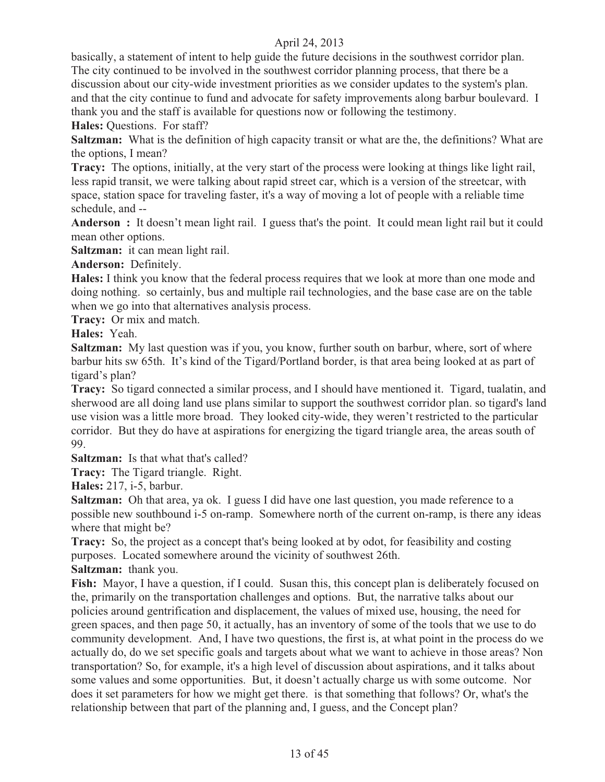basically, a statement of intent to help guide the future decisions in the southwest corridor plan. The city continued to be involved in the southwest corridor planning process, that there be a discussion about our city-wide investment priorities as we consider updates to the system's plan. and that the city continue to fund and advocate for safety improvements along barbur boulevard. I thank you and the staff is available for questions now or following the testimony.

**Hales:** Questions. For staff?

**Saltzman:** What is the definition of high capacity transit or what are the, the definitions? What are the options, I mean?

**Tracy:** The options, initially, at the very start of the process were looking at things like light rail, less rapid transit, we were talking about rapid street car, which is a version of the streetcar, with space, station space for traveling faster, it's a way of moving a lot of people with a reliable time schedule, and --

**Anderson :** It doesn't mean light rail. I guess that's the point. It could mean light rail but it could mean other options.

**Saltzman:** it can mean light rail.

**Anderson:** Definitely.

**Hales:** I think you know that the federal process requires that we look at more than one mode and doing nothing. so certainly, bus and multiple rail technologies, and the base case are on the table when we go into that alternatives analysis process.

**Tracy:** Or mix and match.

**Hales:** Yeah.

**Saltzman:** My last question was if you, you know, further south on barbur, where, sort of where barbur hits sw 65th. It's kind of the Tigard/Portland border, is that area being looked at as part of tigard's plan?

**Tracy:** So tigard connected a similar process, and I should have mentioned it. Tigard, tualatin, and sherwood are all doing land use plans similar to support the southwest corridor plan. so tigard's land use vision was a little more broad. They looked city-wide, they weren't restricted to the particular corridor. But they do have at aspirations for energizing the tigard triangle area, the areas south of 99.

**Saltzman:** Is that what that's called?

**Tracy:** The Tigard triangle. Right.

**Hales:** 217, i-5, barbur.

**Saltzman:** Oh that area, ya ok. I guess I did have one last question, you made reference to a possible new southbound i-5 on-ramp. Somewhere north of the current on-ramp, is there any ideas where that might be?

**Tracy:** So, the project as a concept that's being looked at by odot, for feasibility and costing purposes. Located somewhere around the vicinity of southwest 26th.

**Saltzman:** thank you.

**Fish:** Mayor, I have a question, if I could. Susan this, this concept plan is deliberately focused on the, primarily on the transportation challenges and options. But, the narrative talks about our policies around gentrification and displacement, the values of mixed use, housing, the need for green spaces, and then page 50, it actually, has an inventory of some of the tools that we use to do community development. And, I have two questions, the first is, at what point in the process do we actually do, do we set specific goals and targets about what we want to achieve in those areas? Non transportation? So, for example, it's a high level of discussion about aspirations, and it talks about some values and some opportunities. But, it doesn't actually charge us with some outcome. Nor does it set parameters for how we might get there. is that something that follows? Or, what's the relationship between that part of the planning and, I guess, and the Concept plan?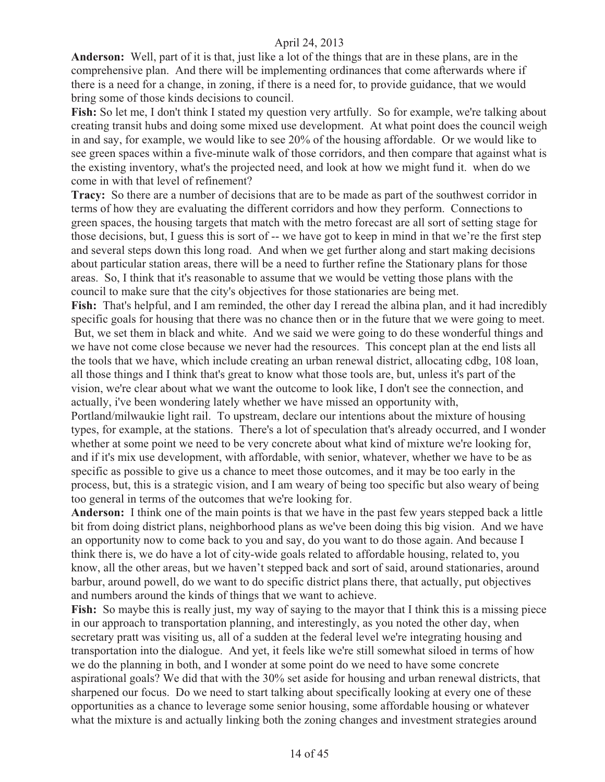**Anderson:** Well, part of it is that, just like a lot of the things that are in these plans, are in the comprehensive plan. And there will be implementing ordinances that come afterwards where if there is a need for a change, in zoning, if there is a need for, to provide guidance, that we would bring some of those kinds decisions to council.

**Fish:** So let me, I don't think I stated my question very artfully. So for example, we're talking about creating transit hubs and doing some mixed use development. At what point does the council weigh in and say, for example, we would like to see 20% of the housing affordable. Or we would like to see green spaces within a five-minute walk of those corridors, and then compare that against what is the existing inventory, what's the projected need, and look at how we might fund it. when do we come in with that level of refinement?

**Tracy:** So there are a number of decisions that are to be made as part of the southwest corridor in terms of how they are evaluating the different corridors and how they perform. Connections to green spaces, the housing targets that match with the metro forecast are all sort of setting stage for those decisions, but, I guess this is sort of -- we have got to keep in mind in that we're the first step and several steps down this long road. And when we get further along and start making decisions about particular station areas, there will be a need to further refine the Stationary plans for those areas. So, I think that it's reasonable to assume that we would be vetting those plans with the council to make sure that the city's objectives for those stationaries are being met.

**Fish:** That's helpful, and I am reminded, the other day I reread the albina plan, and it had incredibly specific goals for housing that there was no chance then or in the future that we were going to meet. But, we set them in black and white. And we said we were going to do these wonderful things and we have not come close because we never had the resources. This concept plan at the end lists all the tools that we have, which include creating an urban renewal district, allocating cdbg, 108 loan, all those things and I think that's great to know what those tools are, but, unless it's part of the vision, we're clear about what we want the outcome to look like, I don't see the connection, and actually, i've been wondering lately whether we have missed an opportunity with,

Portland/milwaukie light rail. To upstream, declare our intentions about the mixture of housing types, for example, at the stations. There's a lot of speculation that's already occurred, and I wonder whether at some point we need to be very concrete about what kind of mixture we're looking for, and if it's mix use development, with affordable, with senior, whatever, whether we have to be as specific as possible to give us a chance to meet those outcomes, and it may be too early in the process, but, this is a strategic vision, and I am weary of being too specific but also weary of being too general in terms of the outcomes that we're looking for.

**Anderson:** I think one of the main points is that we have in the past few years stepped back a little bit from doing district plans, neighborhood plans as we've been doing this big vision. And we have an opportunity now to come back to you and say, do you want to do those again. And because I think there is, we do have a lot of city-wide goals related to affordable housing, related to, you know, all the other areas, but we haven't stepped back and sort of said, around stationaries, around barbur, around powell, do we want to do specific district plans there, that actually, put objectives and numbers around the kinds of things that we want to achieve.

Fish: So maybe this is really just, my way of saying to the mayor that I think this is a missing piece in our approach to transportation planning, and interestingly, as you noted the other day, when secretary pratt was visiting us, all of a sudden at the federal level we're integrating housing and transportation into the dialogue. And yet, it feels like we're still somewhat siloed in terms of how we do the planning in both, and I wonder at some point do we need to have some concrete aspirational goals? We did that with the 30% set aside for housing and urban renewal districts, that sharpened our focus. Do we need to start talking about specifically looking at every one of these opportunities as a chance to leverage some senior housing, some affordable housing or whatever what the mixture is and actually linking both the zoning changes and investment strategies around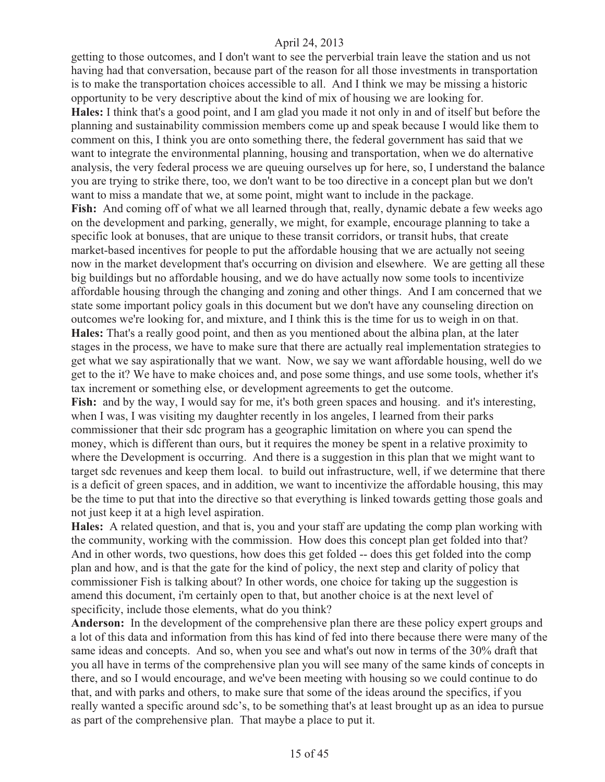getting to those outcomes, and I don't want to see the perverbial train leave the station and us not having had that conversation, because part of the reason for all those investments in transportation is to make the transportation choices accessible to all. And I think we may be missing a historic opportunity to be very descriptive about the kind of mix of housing we are looking for. **Hales:** I think that's a good point, and I am glad you made it not only in and of itself but before the planning and sustainability commission members come up and speak because I would like them to comment on this, I think you are onto something there, the federal government has said that we want to integrate the environmental planning, housing and transportation, when we do alternative analysis, the very federal process we are queuing ourselves up for here, so, I understand the balance you are trying to strike there, too, we don't want to be too directive in a concept plan but we don't want to miss a mandate that we, at some point, might want to include in the package. Fish: And coming off of what we all learned through that, really, dynamic debate a few weeks ago on the development and parking, generally, we might, for example, encourage planning to take a specific look at bonuses, that are unique to these transit corridors, or transit hubs, that create market-based incentives for people to put the affordable housing that we are actually not seeing now in the market development that's occurring on division and elsewhere. We are getting all these big buildings but no affordable housing, and we do have actually now some tools to incentivize affordable housing through the changing and zoning and other things. And I am concerned that we state some important policy goals in this document but we don't have any counseling direction on outcomes we're looking for, and mixture, and I think this is the time for us to weigh in on that. **Hales:** That's a really good point, and then as you mentioned about the albina plan, at the later stages in the process, we have to make sure that there are actually real implementation strategies to get what we say aspirationally that we want. Now, we say we want affordable housing, well do we get to the it? We have to make choices and, and pose some things, and use some tools, whether it's tax increment or something else, or development agreements to get the outcome. Fish: and by the way, I would say for me, it's both green spaces and housing. and it's interesting, when I was, I was visiting my daughter recently in los angeles, I learned from their parks commissioner that their sdc program has a geographic limitation on where you can spend the

money, which is different than ours, but it requires the money be spent in a relative proximity to where the Development is occurring. And there is a suggestion in this plan that we might want to target sdc revenues and keep them local. to build out infrastructure, well, if we determine that there is a deficit of green spaces, and in addition, we want to incentivize the affordable housing, this may be the time to put that into the directive so that everything is linked towards getting those goals and not just keep it at a high level aspiration.

**Hales:** A related question, and that is, you and your staff are updating the comp plan working with the community, working with the commission. How does this concept plan get folded into that? And in other words, two questions, how does this get folded -- does this get folded into the comp plan and how, and is that the gate for the kind of policy, the next step and clarity of policy that commissioner Fish is talking about? In other words, one choice for taking up the suggestion is amend this document, i'm certainly open to that, but another choice is at the next level of specificity, include those elements, what do you think?

**Anderson:** In the development of the comprehensive plan there are these policy expert groups and a lot of this data and information from this has kind of fed into there because there were many of the same ideas and concepts. And so, when you see and what's out now in terms of the 30% draft that you all have in terms of the comprehensive plan you will see many of the same kinds of concepts in there, and so I would encourage, and we've been meeting with housing so we could continue to do that, and with parks and others, to make sure that some of the ideas around the specifics, if you really wanted a specific around sdc's, to be something that's at least brought up as an idea to pursue as part of the comprehensive plan. That maybe a place to put it.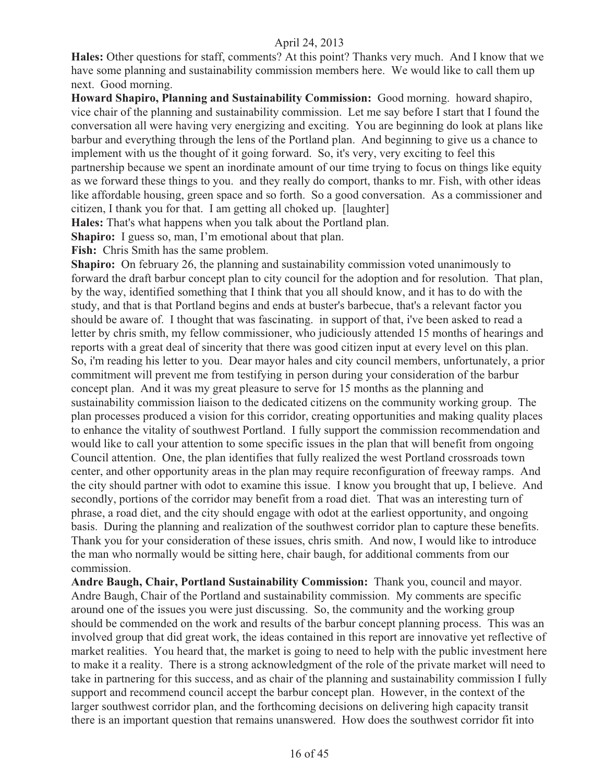**Hales:** Other questions for staff, comments? At this point? Thanks very much. And I know that we have some planning and sustainability commission members here. We would like to call them up next. Good morning.

**Howard Shapiro, Planning and Sustainability Commission:** Good morning. howard shapiro, vice chair of the planning and sustainability commission. Let me say before I start that I found the conversation all were having very energizing and exciting. You are beginning do look at plans like barbur and everything through the lens of the Portland plan. And beginning to give us a chance to implement with us the thought of it going forward. So, it's very, very exciting to feel this partnership because we spent an inordinate amount of our time trying to focus on things like equity as we forward these things to you. and they really do comport, thanks to mr. Fish, with other ideas like affordable housing, green space and so forth. So a good conversation. As a commissioner and citizen, I thank you for that. I am getting all choked up. [laughter]

**Hales:** That's what happens when you talk about the Portland plan.

**Shapiro:** I guess so, man, I'm emotional about that plan.

**Fish:** Chris Smith has the same problem.

**Shapiro:** On february 26, the planning and sustainability commission voted unanimously to forward the draft barbur concept plan to city council for the adoption and for resolution. That plan, by the way, identified something that I think that you all should know, and it has to do with the study, and that is that Portland begins and ends at buster's barbecue, that's a relevant factor you should be aware of. I thought that was fascinating. in support of that, i've been asked to read a letter by chris smith, my fellow commissioner, who judiciously attended 15 months of hearings and reports with a great deal of sincerity that there was good citizen input at every level on this plan. So, i'm reading his letter to you. Dear mayor hales and city council members, unfortunately, a prior commitment will prevent me from testifying in person during your consideration of the barbur concept plan. And it was my great pleasure to serve for 15 months as the planning and sustainability commission liaison to the dedicated citizens on the community working group. The plan processes produced a vision for this corridor, creating opportunities and making quality places to enhance the vitality of southwest Portland. I fully support the commission recommendation and would like to call your attention to some specific issues in the plan that will benefit from ongoing Council attention. One, the plan identifies that fully realized the west Portland crossroads town center, and other opportunity areas in the plan may require reconfiguration of freeway ramps. And the city should partner with odot to examine this issue. I know you brought that up, I believe. And secondly, portions of the corridor may benefit from a road diet. That was an interesting turn of phrase, a road diet, and the city should engage with odot at the earliest opportunity, and ongoing basis. During the planning and realization of the southwest corridor plan to capture these benefits. Thank you for your consideration of these issues, chris smith. And now, I would like to introduce the man who normally would be sitting here, chair baugh, for additional comments from our commission.

**Andre Baugh, Chair, Portland Sustainability Commission:** Thank you, council and mayor. Andre Baugh, Chair of the Portland and sustainability commission. My comments are specific around one of the issues you were just discussing. So, the community and the working group should be commended on the work and results of the barbur concept planning process. This was an involved group that did great work, the ideas contained in this report are innovative yet reflective of market realities. You heard that, the market is going to need to help with the public investment here to make it a reality. There is a strong acknowledgment of the role of the private market will need to take in partnering for this success, and as chair of the planning and sustainability commission I fully support and recommend council accept the barbur concept plan. However, in the context of the larger southwest corridor plan, and the forthcoming decisions on delivering high capacity transit there is an important question that remains unanswered. How does the southwest corridor fit into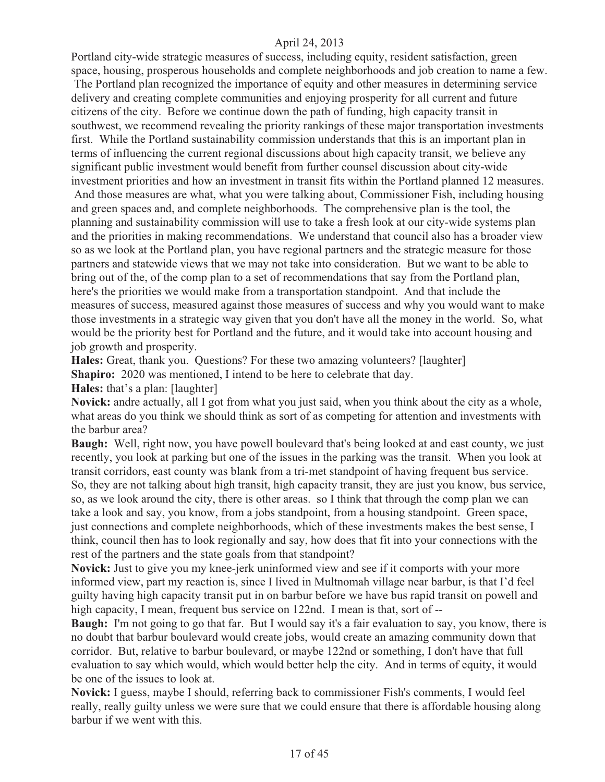Portland city-wide strategic measures of success, including equity, resident satisfaction, green space, housing, prosperous households and complete neighborhoods and job creation to name a few.

 The Portland plan recognized the importance of equity and other measures in determining service delivery and creating complete communities and enjoying prosperity for all current and future citizens of the city. Before we continue down the path of funding, high capacity transit in southwest, we recommend revealing the priority rankings of these major transportation investments first. While the Portland sustainability commission understands that this is an important plan in terms of influencing the current regional discussions about high capacity transit, we believe any significant public investment would benefit from further counsel discussion about city-wide investment priorities and how an investment in transit fits within the Portland planned 12 measures.

 And those measures are what, what you were talking about, Commissioner Fish, including housing and green spaces and, and complete neighborhoods. The comprehensive plan is the tool, the planning and sustainability commission will use to take a fresh look at our city-wide systems plan and the priorities in making recommendations. We understand that council also has a broader view so as we look at the Portland plan, you have regional partners and the strategic measure for those partners and statewide views that we may not take into consideration. But we want to be able to bring out of the, of the comp plan to a set of recommendations that say from the Portland plan, here's the priorities we would make from a transportation standpoint. And that include the measures of success, measured against those measures of success and why you would want to make those investments in a strategic way given that you don't have all the money in the world. So, what would be the priority best for Portland and the future, and it would take into account housing and job growth and prosperity.

**Hales:** Great, thank you. Questions? For these two amazing volunteers? [laughter]

**Shapiro:** 2020 was mentioned, I intend to be here to celebrate that day.

**Hales:** that's a plan: [laughter]

**Novick:** andre actually, all I got from what you just said, when you think about the city as a whole, what areas do you think we should think as sort of as competing for attention and investments with the barbur area?

**Baugh:** Well, right now, you have powell boulevard that's being looked at and east county, we just recently, you look at parking but one of the issues in the parking was the transit. When you look at transit corridors, east county was blank from a tri-met standpoint of having frequent bus service. So, they are not talking about high transit, high capacity transit, they are just you know, bus service, so, as we look around the city, there is other areas. so I think that through the comp plan we can take a look and say, you know, from a jobs standpoint, from a housing standpoint. Green space, just connections and complete neighborhoods, which of these investments makes the best sense, I think, council then has to look regionally and say, how does that fit into your connections with the rest of the partners and the state goals from that standpoint?

**Novick:** Just to give you my knee-jerk uninformed view and see if it comports with your more informed view, part my reaction is, since I lived in Multnomah village near barbur, is that I'd feel guilty having high capacity transit put in on barbur before we have bus rapid transit on powell and high capacity, I mean, frequent bus service on 122nd. I mean is that, sort of --

**Baugh:** I'm not going to go that far. But I would say it's a fair evaluation to say, you know, there is no doubt that barbur boulevard would create jobs, would create an amazing community down that corridor. But, relative to barbur boulevard, or maybe 122nd or something, I don't have that full evaluation to say which would, which would better help the city. And in terms of equity, it would be one of the issues to look at.

**Novick:** I guess, maybe I should, referring back to commissioner Fish's comments, I would feel really, really guilty unless we were sure that we could ensure that there is affordable housing along barbur if we went with this.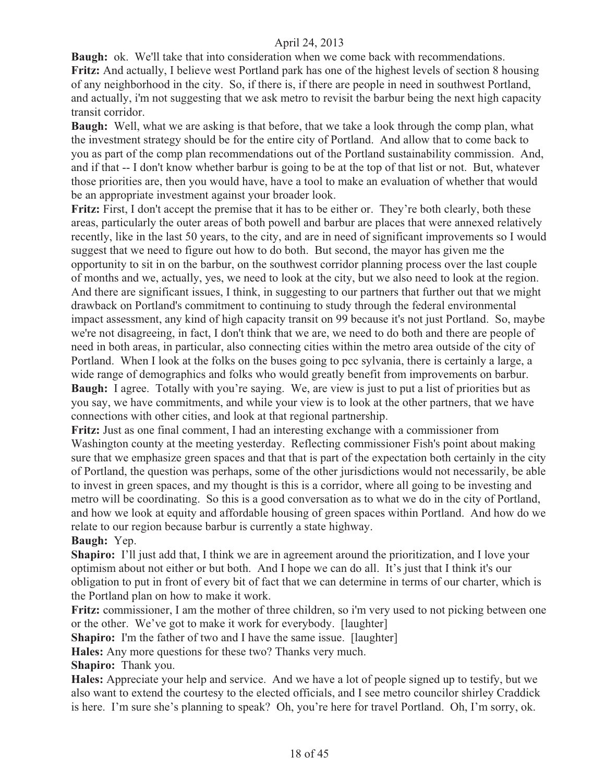**Baugh:** ok. We'll take that into consideration when we come back with recommendations. **Fritz:** And actually, I believe west Portland park has one of the highest levels of section 8 housing of any neighborhood in the city. So, if there is, if there are people in need in southwest Portland, and actually, i'm not suggesting that we ask metro to revisit the barbur being the next high capacity transit corridor.

**Baugh:** Well, what we are asking is that before, that we take a look through the comp plan, what the investment strategy should be for the entire city of Portland. And allow that to come back to you as part of the comp plan recommendations out of the Portland sustainability commission. And, and if that -- I don't know whether barbur is going to be at the top of that list or not. But, whatever those priorities are, then you would have, have a tool to make an evaluation of whether that would be an appropriate investment against your broader look.

Fritz: First, I don't accept the premise that it has to be either or. They're both clearly, both these areas, particularly the outer areas of both powell and barbur are places that were annexed relatively recently, like in the last 50 years, to the city, and are in need of significant improvements so I would suggest that we need to figure out how to do both. But second, the mayor has given me the opportunity to sit in on the barbur, on the southwest corridor planning process over the last couple of months and we, actually, yes, we need to look at the city, but we also need to look at the region. And there are significant issues, I think, in suggesting to our partners that further out that we might drawback on Portland's commitment to continuing to study through the federal environmental impact assessment, any kind of high capacity transit on 99 because it's not just Portland. So, maybe we're not disagreeing, in fact, I don't think that we are, we need to do both and there are people of need in both areas, in particular, also connecting cities within the metro area outside of the city of Portland. When I look at the folks on the buses going to pcc sylvania, there is certainly a large, a wide range of demographics and folks who would greatly benefit from improvements on barbur. **Baugh:** I agree. Totally with you're saying. We, are view is just to put a list of priorities but as you say, we have commitments, and while your view is to look at the other partners, that we have connections with other cities, and look at that regional partnership.

**Fritz:** Just as one final comment, I had an interesting exchange with a commissioner from Washington county at the meeting yesterday. Reflecting commissioner Fish's point about making sure that we emphasize green spaces and that that is part of the expectation both certainly in the city of Portland, the question was perhaps, some of the other jurisdictions would not necessarily, be able to invest in green spaces, and my thought is this is a corridor, where all going to be investing and metro will be coordinating. So this is a good conversation as to what we do in the city of Portland, and how we look at equity and affordable housing of green spaces within Portland. And how do we relate to our region because barbur is currently a state highway.

**Baugh:** Yep.

**Shapiro:** I'll just add that, I think we are in agreement around the prioritization, and I love your optimism about not either or but both. And I hope we can do all. It's just that I think it's our obligation to put in front of every bit of fact that we can determine in terms of our charter, which is the Portland plan on how to make it work.

**Fritz:** commissioner, I am the mother of three children, so i'm very used to not picking between one or the other. We've got to make it work for everybody. [laughter]

**Shapiro:** I'm the father of two and I have the same issue. [laughter]

**Hales:** Any more questions for these two? Thanks very much.

**Shapiro:** Thank you.

**Hales:** Appreciate your help and service. And we have a lot of people signed up to testify, but we also want to extend the courtesy to the elected officials, and I see metro councilor shirley Craddick is here. I'm sure she's planning to speak? Oh, you're here for travel Portland. Oh, I'm sorry, ok.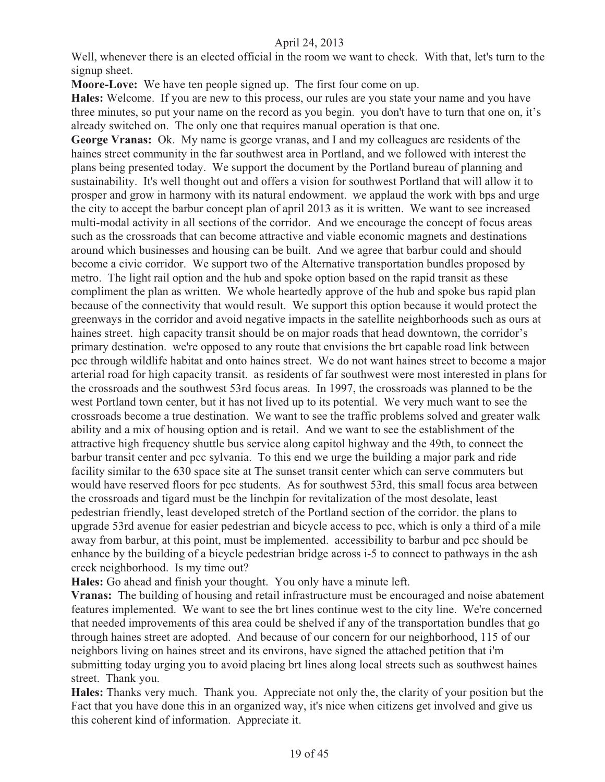Well, whenever there is an elected official in the room we want to check. With that, let's turn to the signup sheet.

**Moore-Love:** We have ten people signed up. The first four come on up.

**Hales:** Welcome. If you are new to this process, our rules are you state your name and you have three minutes, so put your name on the record as you begin. you don't have to turn that one on, it's already switched on. The only one that requires manual operation is that one.

**George Vranas:** Ok. My name is george vranas, and I and my colleagues are residents of the haines street community in the far southwest area in Portland, and we followed with interest the plans being presented today. We support the document by the Portland bureau of planning and sustainability. It's well thought out and offers a vision for southwest Portland that will allow it to prosper and grow in harmony with its natural endowment. we applaud the work with bps and urge the city to accept the barbur concept plan of april 2013 as it is written. We want to see increased multi-modal activity in all sections of the corridor. And we encourage the concept of focus areas such as the crossroads that can become attractive and viable economic magnets and destinations around which businesses and housing can be built. And we agree that barbur could and should become a civic corridor. We support two of the Alternative transportation bundles proposed by metro. The light rail option and the hub and spoke option based on the rapid transit as these compliment the plan as written. We whole heartedly approve of the hub and spoke bus rapid plan because of the connectivity that would result. We support this option because it would protect the greenways in the corridor and avoid negative impacts in the satellite neighborhoods such as ours at haines street. high capacity transit should be on major roads that head downtown, the corridor's primary destination. we're opposed to any route that envisions the brt capable road link between pcc through wildlife habitat and onto haines street. We do not want haines street to become a major arterial road for high capacity transit. as residents of far southwest were most interested in plans for the crossroads and the southwest 53rd focus areas. In 1997, the crossroads was planned to be the west Portland town center, but it has not lived up to its potential. We very much want to see the crossroads become a true destination. We want to see the traffic problems solved and greater walk ability and a mix of housing option and is retail. And we want to see the establishment of the attractive high frequency shuttle bus service along capitol highway and the 49th, to connect the barbur transit center and pcc sylvania. To this end we urge the building a major park and ride facility similar to the 630 space site at The sunset transit center which can serve commuters but would have reserved floors for pcc students. As for southwest 53rd, this small focus area between the crossroads and tigard must be the linchpin for revitalization of the most desolate, least pedestrian friendly, least developed stretch of the Portland section of the corridor. the plans to upgrade 53rd avenue for easier pedestrian and bicycle access to pcc, which is only a third of a mile away from barbur, at this point, must be implemented. accessibility to barbur and pcc should be enhance by the building of a bicycle pedestrian bridge across i-5 to connect to pathways in the ash creek neighborhood. Is my time out?

**Hales:** Go ahead and finish your thought. You only have a minute left.

**Vranas:** The building of housing and retail infrastructure must be encouraged and noise abatement features implemented. We want to see the brt lines continue west to the city line. We're concerned that needed improvements of this area could be shelved if any of the transportation bundles that go through haines street are adopted. And because of our concern for our neighborhood, 115 of our neighbors living on haines street and its environs, have signed the attached petition that i'm submitting today urging you to avoid placing brt lines along local streets such as southwest haines street. Thank you.

**Hales:** Thanks very much. Thank you. Appreciate not only the, the clarity of your position but the Fact that you have done this in an organized way, it's nice when citizens get involved and give us this coherent kind of information. Appreciate it.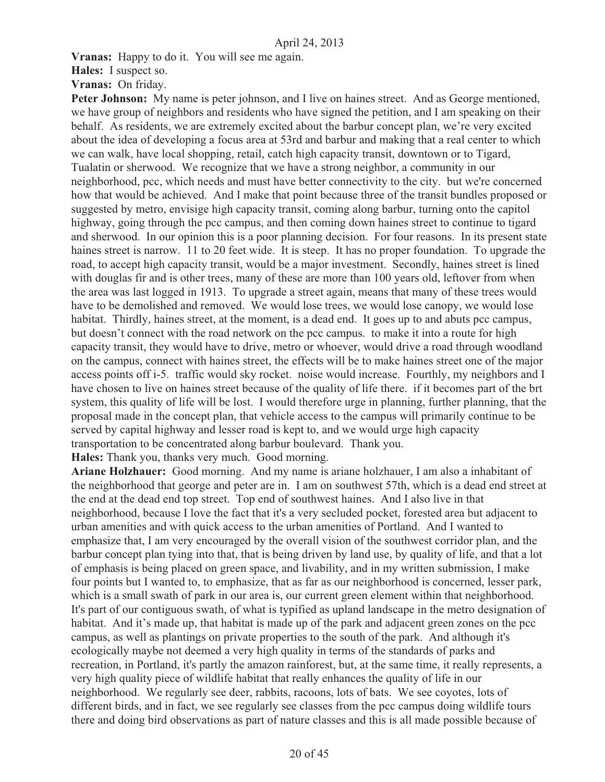**Vranas:** Happy to do it. You will see me again.

**Hales:** I suspect so.

**Vranas:** On friday.

Peter Johnson: My name is peter johnson, and I live on haines street. And as George mentioned, we have group of neighbors and residents who have signed the petition, and I am speaking on their behalf. As residents, we are extremely excited about the barbur concept plan, we're very excited about the idea of developing a focus area at 53rd and barbur and making that a real center to which we can walk, have local shopping, retail, catch high capacity transit, downtown or to Tigard, Tualatin or sherwood. We recognize that we have a strong neighbor, a community in our neighborhood, pcc, which needs and must have better connectivity to the city. but we're concerned how that would be achieved. And I make that point because three of the transit bundles proposed or suggested by metro, envisige high capacity transit, coming along barbur, turning onto the capitol highway, going through the pcc campus, and then coming down haines street to continue to tigard and sherwood. In our opinion this is a poor planning decision. For four reasons. In its present state haines street is narrow. 11 to 20 feet wide. It is steep. It has no proper foundation. To upgrade the road, to accept high capacity transit, would be a major investment. Secondly, haines street is lined with douglas fir and is other trees, many of these are more than 100 years old, leftover from when the area was last logged in 1913. To upgrade a street again, means that many of these trees would have to be demolished and removed. We would lose trees, we would lose canopy, we would lose habitat. Thirdly, haines street, at the moment, is a dead end. It goes up to and abuts pcc campus, but doesn't connect with the road network on the pcc campus. to make it into a route for high capacity transit, they would have to drive, metro or whoever, would drive a road through woodland on the campus, connect with haines street, the effects will be to make haines street one of the major access points off i-5. traffic would sky rocket. noise would increase. Fourthly, my neighbors and I have chosen to live on haines street because of the quality of life there. if it becomes part of the brt system, this quality of life will be lost. I would therefore urge in planning, further planning, that the proposal made in the concept plan, that vehicle access to the campus will primarily continue to be served by capital highway and lesser road is kept to, and we would urge high capacity transportation to be concentrated along barbur boulevard. Thank you.

**Hales:** Thank you, thanks very much. Good morning.

**Ariane Holzhauer:** Good morning. And my name is ariane holzhauer, I am also a inhabitant of the neighborhood that george and peter are in. I am on southwest 57th, which is a dead end street at the end at the dead end top street. Top end of southwest haines. And I also live in that neighborhood, because I love the fact that it's a very secluded pocket, forested area but adjacent to urban amenities and with quick access to the urban amenities of Portland. And I wanted to emphasize that, I am very encouraged by the overall vision of the southwest corridor plan, and the barbur concept plan tying into that, that is being driven by land use, by quality of life, and that a lot of emphasis is being placed on green space, and livability, and in my written submission, I make four points but I wanted to, to emphasize, that as far as our neighborhood is concerned, lesser park, which is a small swath of park in our area is, our current green element within that neighborhood. It's part of our contiguous swath, of what is typified as upland landscape in the metro designation of habitat. And it's made up, that habitat is made up of the park and adjacent green zones on the pcc campus, as well as plantings on private properties to the south of the park. And although it's ecologically maybe not deemed a very high quality in terms of the standards of parks and recreation, in Portland, it's partly the amazon rainforest, but, at the same time, it really represents, a very high quality piece of wildlife habitat that really enhances the quality of life in our neighborhood. We regularly see deer, rabbits, racoons, lots of bats. We see coyotes, lots of different birds, and in fact, we see regularly see classes from the pcc campus doing wildlife tours there and doing bird observations as part of nature classes and this is all made possible because of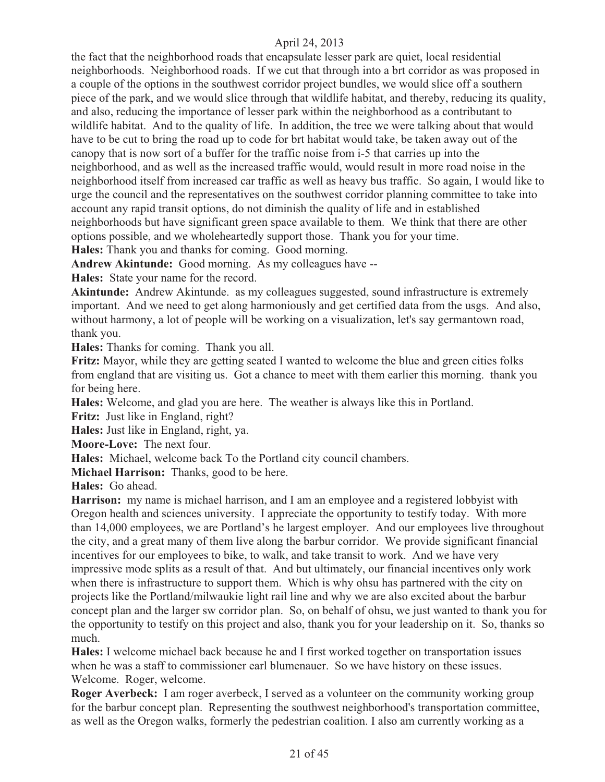the fact that the neighborhood roads that encapsulate lesser park are quiet, local residential neighborhoods. Neighborhood roads. If we cut that through into a brt corridor as was proposed in a couple of the options in the southwest corridor project bundles, we would slice off a southern piece of the park, and we would slice through that wildlife habitat, and thereby, reducing its quality, and also, reducing the importance of lesser park within the neighborhood as a contributant to wildlife habitat. And to the quality of life. In addition, the tree we were talking about that would have to be cut to bring the road up to code for brt habitat would take, be taken away out of the canopy that is now sort of a buffer for the traffic noise from i-5 that carries up into the neighborhood, and as well as the increased traffic would, would result in more road noise in the neighborhood itself from increased car traffic as well as heavy bus traffic. So again, I would like to urge the council and the representatives on the southwest corridor planning committee to take into account any rapid transit options, do not diminish the quality of life and in established neighborhoods but have significant green space available to them. We think that there are other options possible, and we wholeheartedly support those. Thank you for your time.

**Hales:** Thank you and thanks for coming. Good morning.

**Andrew Akintunde:** Good morning. As my colleagues have --

**Hales:** State your name for the record.

**Akintunde:** Andrew Akintunde. as my colleagues suggested, sound infrastructure is extremely important. And we need to get along harmoniously and get certified data from the usgs. And also, without harmony, a lot of people will be working on a visualization, let's say germantown road, thank you.

**Hales:** Thanks for coming. Thank you all.

**Fritz:** Mayor, while they are getting seated I wanted to welcome the blue and green cities folks from england that are visiting us. Got a chance to meet with them earlier this morning. thank you for being here.

**Hales:** Welcome, and glad you are here. The weather is always like this in Portland.

Fritz: Just like in England, right?

**Hales:** Just like in England, right, ya.

**Moore-Love:** The next four.

**Hales:** Michael, welcome back To the Portland city council chambers.

**Michael Harrison:** Thanks, good to be here.

**Hales:** Go ahead.

**Harrison:** my name is michael harrison, and I am an employee and a registered lobbyist with Oregon health and sciences university. I appreciate the opportunity to testify today. With more than 14,000 employees, we are Portland's he largest employer. And our employees live throughout the city, and a great many of them live along the barbur corridor. We provide significant financial incentives for our employees to bike, to walk, and take transit to work. And we have very impressive mode splits as a result of that. And but ultimately, our financial incentives only work when there is infrastructure to support them. Which is why ohsu has partnered with the city on projects like the Portland/milwaukie light rail line and why we are also excited about the barbur concept plan and the larger sw corridor plan. So, on behalf of ohsu, we just wanted to thank you for the opportunity to testify on this project and also, thank you for your leadership on it. So, thanks so much.

**Hales:** I welcome michael back because he and I first worked together on transportation issues when he was a staff to commissioner earl blumenauer. So we have history on these issues. Welcome. Roger, welcome.

**Roger Averbeck:** I am roger averbeck, I served as a volunteer on the community working group for the barbur concept plan. Representing the southwest neighborhood's transportation committee, as well as the Oregon walks, formerly the pedestrian coalition. I also am currently working as a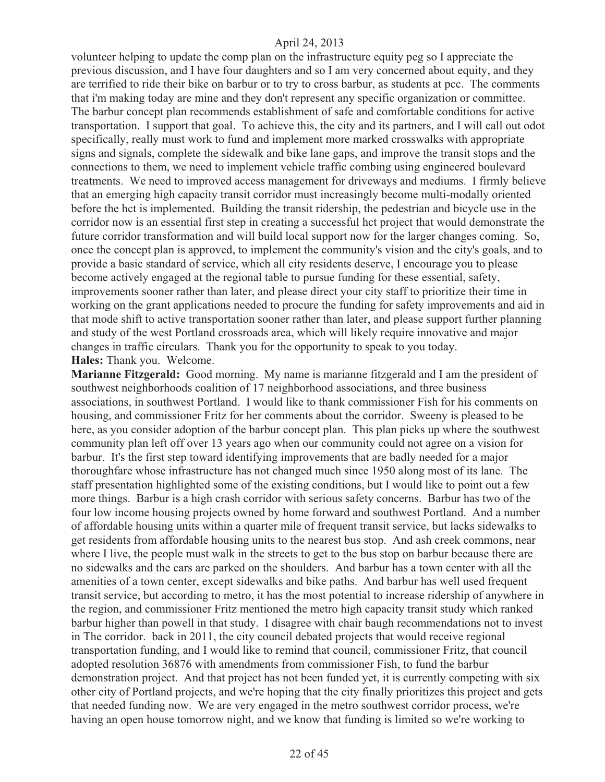volunteer helping to update the comp plan on the infrastructure equity peg so I appreciate the previous discussion, and I have four daughters and so I am very concerned about equity, and they are terrified to ride their bike on barbur or to try to cross barbur, as students at pcc. The comments that i'm making today are mine and they don't represent any specific organization or committee. The barbur concept plan recommends establishment of safe and comfortable conditions for active transportation. I support that goal. To achieve this, the city and its partners, and I will call out odot specifically, really must work to fund and implement more marked crosswalks with appropriate signs and signals, complete the sidewalk and bike lane gaps, and improve the transit stops and the connections to them, we need to implement vehicle traffic combing using engineered boulevard treatments. We need to improved access management for driveways and mediums. I firmly believe that an emerging high capacity transit corridor must increasingly become multi-modally oriented before the hct is implemented. Building the transit ridership, the pedestrian and bicycle use in the corridor now is an essential first step in creating a successful hct project that would demonstrate the future corridor transformation and will build local support now for the larger changes coming. So, once the concept plan is approved, to implement the community's vision and the city's goals, and to provide a basic standard of service, which all city residents deserve, I encourage you to please become actively engaged at the regional table to pursue funding for these essential, safety, improvements sooner rather than later, and please direct your city staff to prioritize their time in working on the grant applications needed to procure the funding for safety improvements and aid in that mode shift to active transportation sooner rather than later, and please support further planning and study of the west Portland crossroads area, which will likely require innovative and major changes in traffic circulars. Thank you for the opportunity to speak to you today. **Hales:** Thank you. Welcome.

**Marianne Fitzgerald:** Good morning. My name is marianne fitzgerald and I am the president of southwest neighborhoods coalition of 17 neighborhood associations, and three business associations, in southwest Portland. I would like to thank commissioner Fish for his comments on housing, and commissioner Fritz for her comments about the corridor. Sweeny is pleased to be here, as you consider adoption of the barbur concept plan. This plan picks up where the southwest community plan left off over 13 years ago when our community could not agree on a vision for barbur. It's the first step toward identifying improvements that are badly needed for a major thoroughfare whose infrastructure has not changed much since 1950 along most of its lane. The staff presentation highlighted some of the existing conditions, but I would like to point out a few more things. Barbur is a high crash corridor with serious safety concerns. Barbur has two of the four low income housing projects owned by home forward and southwest Portland. And a number of affordable housing units within a quarter mile of frequent transit service, but lacks sidewalks to get residents from affordable housing units to the nearest bus stop. And ash creek commons, near where I live, the people must walk in the streets to get to the bus stop on barbur because there are no sidewalks and the cars are parked on the shoulders. And barbur has a town center with all the amenities of a town center, except sidewalks and bike paths. And barbur has well used frequent transit service, but according to metro, it has the most potential to increase ridership of anywhere in the region, and commissioner Fritz mentioned the metro high capacity transit study which ranked barbur higher than powell in that study. I disagree with chair baugh recommendations not to invest in The corridor. back in 2011, the city council debated projects that would receive regional transportation funding, and I would like to remind that council, commissioner Fritz, that council adopted resolution 36876 with amendments from commissioner Fish, to fund the barbur demonstration project. And that project has not been funded yet, it is currently competing with six other city of Portland projects, and we're hoping that the city finally prioritizes this project and gets that needed funding now. We are very engaged in the metro southwest corridor process, we're having an open house tomorrow night, and we know that funding is limited so we're working to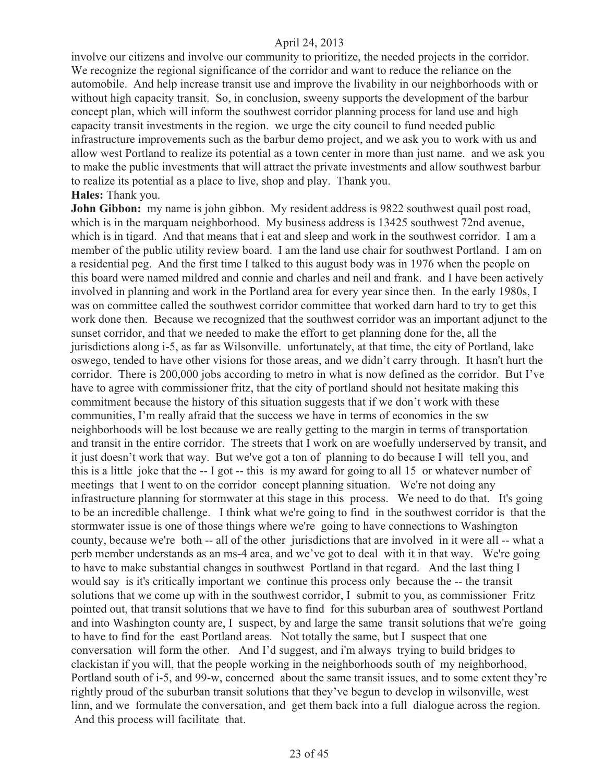involve our citizens and involve our community to prioritize, the needed projects in the corridor. We recognize the regional significance of the corridor and want to reduce the reliance on the automobile. And help increase transit use and improve the livability in our neighborhoods with or without high capacity transit. So, in conclusion, sweeny supports the development of the barbur concept plan, which will inform the southwest corridor planning process for land use and high capacity transit investments in the region. we urge the city council to fund needed public infrastructure improvements such as the barbur demo project, and we ask you to work with us and allow west Portland to realize its potential as a town center in more than just name. and we ask you to make the public investments that will attract the private investments and allow southwest barbur to realize its potential as a place to live, shop and play. Thank you.

### **Hales:** Thank you.

**John Gibbon:** my name is john gibbon. My resident address is 9822 southwest quail post road, which is in the marquam neighborhood. My business address is 13425 southwest 72nd avenue, which is in tigard. And that means that i eat and sleep and work in the southwest corridor. I am a member of the public utility review board. I am the land use chair for southwest Portland. I am on a residential peg. And the first time I talked to this august body was in 1976 when the people on this board were named mildred and connie and charles and neil and frank. and I have been actively involved in planning and work in the Portland area for every year since then. In the early 1980s, I was on committee called the southwest corridor committee that worked darn hard to try to get this work done then. Because we recognized that the southwest corridor was an important adjunct to the sunset corridor, and that we needed to make the effort to get planning done for the, all the jurisdictions along i-5, as far as Wilsonville. unfortunately, at that time, the city of Portland, lake oswego, tended to have other visions for those areas, and we didn't carry through. It hasn't hurt the corridor. There is 200,000 jobs according to metro in what is now defined as the corridor. But I've have to agree with commissioner fritz, that the city of portland should not hesitate making this commitment because the history of this situation suggests that if we don't work with these communities, I'm really afraid that the success we have in terms of economics in the sw neighborhoods will be lost because we are really getting to the margin in terms of transportation and transit in the entire corridor. The streets that I work on are woefully underserved by transit, and it just doesn't work that way. But we've got a ton of planning to do because I will tell you, and this is a little joke that the -- I got -- this is my award for going to all 15 or whatever number of meetings that I went to on the corridor concept planning situation. We're not doing any infrastructure planning for stormwater at this stage in this process. We need to do that. It's going to be an incredible challenge. I think what we're going to find in the southwest corridor is that the stormwater issue is one of those things where we're going to have connections to Washington county, because we're both -- all of the other jurisdictions that are involved in it were all -- what a perb member understands as an ms-4 area, and we've got to deal with it in that way. We're going to have to make substantial changes in southwest Portland in that regard. And the last thing I would say is it's critically important we continue this process only because the -- the transit solutions that we come up with in the southwest corridor, I submit to you, as commissioner Fritz pointed out, that transit solutions that we have to find for this suburban area of southwest Portland and into Washington county are, I suspect, by and large the same transit solutions that we're going to have to find for the east Portland areas. Not totally the same, but I suspect that one conversation will form the other. And I'd suggest, and i'm always trying to build bridges to clackistan if you will, that the people working in the neighborhoods south of my neighborhood, Portland south of i-5, and 99-w, concerned about the same transit issues, and to some extent they're rightly proud of the suburban transit solutions that they've begun to develop in wilsonville, west linn, and we formulate the conversation, and get them back into a full dialogue across the region. And this process will facilitate that.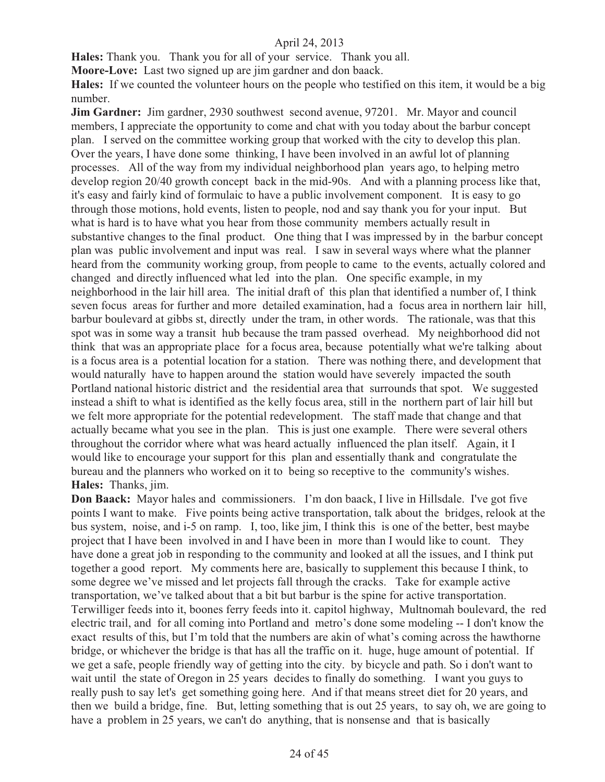**Hales:** Thank you. Thank you for all of your service. Thank you all.

**Moore-Love:** Last two signed up are jim gardner and don baack.

**Hales:** If we counted the volunteer hours on the people who testified on this item, it would be a big number.

**Jim Gardner:** Jim gardner, 2930 southwest second avenue, 97201. Mr. Mayor and council members, I appreciate the opportunity to come and chat with you today about the barbur concept plan. I served on the committee working group that worked with the city to develop this plan. Over the years, I have done some thinking, I have been involved in an awful lot of planning processes. All of the way from my individual neighborhood plan years ago, to helping metro develop region 20/40 growth concept back in the mid-90s. And with a planning process like that, it's easy and fairly kind of formulaic to have a public involvement component. It is easy to go through those motions, hold events, listen to people, nod and say thank you for your input. But what is hard is to have what you hear from those community members actually result in substantive changes to the final product. One thing that I was impressed by in the barbur concept plan was public involvement and input was real. I saw in several ways where what the planner heard from the community working group, from people to came to the events, actually colored and changed and directly influenced what led into the plan. One specific example, in my neighborhood in the lair hill area. The initial draft of this plan that identified a number of, I think seven focus areas for further and more detailed examination, had a focus area in northern lair hill, barbur boulevard at gibbs st, directly under the tram, in other words. The rationale, was that this spot was in some way a transit hub because the tram passed overhead. My neighborhood did not think that was an appropriate place for a focus area, because potentially what we're talking about is a focus area is a potential location for a station. There was nothing there, and development that would naturally have to happen around the station would have severely impacted the south Portland national historic district and the residential area that surrounds that spot. We suggested instead a shift to what is identified as the kelly focus area, still in the northern part of lair hill but we felt more appropriate for the potential redevelopment. The staff made that change and that actually became what you see in the plan. This is just one example. There were several others throughout the corridor where what was heard actually influenced the plan itself. Again, it I would like to encourage your support for this plan and essentially thank and congratulate the bureau and the planners who worked on it to being so receptive to the community's wishes. **Hales:** Thanks, jim.

**Don Baack:** Mayor hales and commissioners. I'm don baack, I live in Hillsdale. I've got five points I want to make. Five points being active transportation, talk about the bridges, relook at the bus system, noise, and i-5 on ramp. I, too, like jim, I think this is one of the better, best maybe project that I have been involved in and I have been in more than I would like to count. They have done a great job in responding to the community and looked at all the issues, and I think put together a good report. My comments here are, basically to supplement this because I think, to some degree we've missed and let projects fall through the cracks. Take for example active transportation, we've talked about that a bit but barbur is the spine for active transportation. Terwilliger feeds into it, boones ferry feeds into it. capitol highway, Multnomah boulevard, the red electric trail, and for all coming into Portland and metro's done some modeling -- I don't know the exact results of this, but I'm told that the numbers are akin of what's coming across the hawthorne bridge, or whichever the bridge is that has all the traffic on it. huge, huge amount of potential. If we get a safe, people friendly way of getting into the city. by bicycle and path. So i don't want to wait until the state of Oregon in 25 years decides to finally do something. I want you guys to really push to say let's get something going here. And if that means street diet for 20 years, and then we build a bridge, fine. But, letting something that is out 25 years, to say oh, we are going to have a problem in 25 years, we can't do anything, that is nonsense and that is basically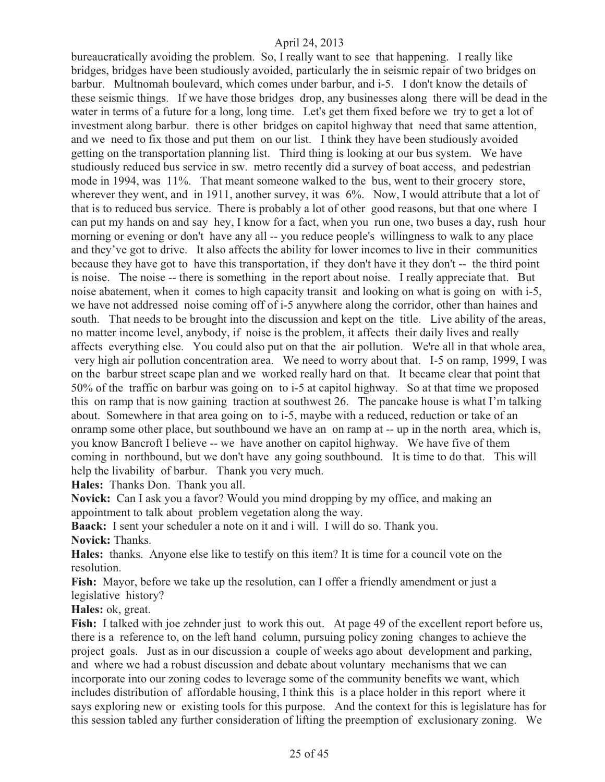bureaucratically avoiding the problem. So, I really want to see that happening. I really like bridges, bridges have been studiously avoided, particularly the in seismic repair of two bridges on barbur. Multnomah boulevard, which comes under barbur, and i-5. I don't know the details of these seismic things. If we have those bridges drop, any businesses along there will be dead in the water in terms of a future for a long, long time. Let's get them fixed before we try to get a lot of investment along barbur. there is other bridges on capitol highway that need that same attention, and we need to fix those and put them on our list. I think they have been studiously avoided getting on the transportation planning list. Third thing is looking at our bus system. We have studiously reduced bus service in sw. metro recently did a survey of boat access, and pedestrian mode in 1994, was 11%. That meant someone walked to the bus, went to their grocery store, wherever they went, and in 1911, another survey, it was  $6\%$ . Now, I would attribute that a lot of that is to reduced bus service. There is probably a lot of other good reasons, but that one where I can put my hands on and say hey, I know for a fact, when you run one, two buses a day, rush hour morning or evening or don't have any all -- you reduce people's willingness to walk to any place and they've got to drive. It also affects the ability for lower incomes to live in their communities because they have got to have this transportation, if they don't have it they don't -- the third point is noise. The noise -- there is something in the report about noise. I really appreciate that. But noise abatement, when it comes to high capacity transit and looking on what is going on with i-5, we have not addressed noise coming off of i-5 anywhere along the corridor, other than haines and south. That needs to be brought into the discussion and kept on the title. Live ability of the areas, no matter income level, anybody, if noise is the problem, it affects their daily lives and really affects everything else. You could also put on that the air pollution. We're all in that whole area, very high air pollution concentration area. We need to worry about that. I-5 on ramp, 1999, I was on the barbur street scape plan and we worked really hard on that. It became clear that point that 50% of the traffic on barbur was going on to i-5 at capitol highway. So at that time we proposed this on ramp that is now gaining traction at southwest 26. The pancake house is what I'm talking about. Somewhere in that area going on to i-5, maybe with a reduced, reduction or take of an onramp some other place, but southbound we have an on ramp at -- up in the north area, which is, you know Bancroft I believe -- we have another on capitol highway. We have five of them coming in northbound, but we don't have any going southbound. It is time to do that. This will help the livability of barbur. Thank you very much.

**Hales:** Thanks Don. Thank you all.

**Novick:** Can I ask you a favor? Would you mind dropping by my office, and making an appointment to talk about problem vegetation along the way.

**Baack:** I sent your scheduler a note on it and i will. I will do so. Thank you. **Novick:** Thanks.

**Hales:** thanks. Anyone else like to testify on this item? It is time for a council vote on the resolution.

**Fish:** Mayor, before we take up the resolution, can I offer a friendly amendment or just a legislative history?

**Hales:** ok, great.

Fish: I talked with joe zehnder just to work this out. At page 49 of the excellent report before us, there is a reference to, on the left hand column, pursuing policy zoning changes to achieve the project goals. Just as in our discussion a couple of weeks ago about development and parking, and where we had a robust discussion and debate about voluntary mechanisms that we can incorporate into our zoning codes to leverage some of the community benefits we want, which includes distribution of affordable housing, I think this is a place holder in this report where it says exploring new or existing tools for this purpose. And the context for this is legislature has for this session tabled any further consideration of lifting the preemption of exclusionary zoning. We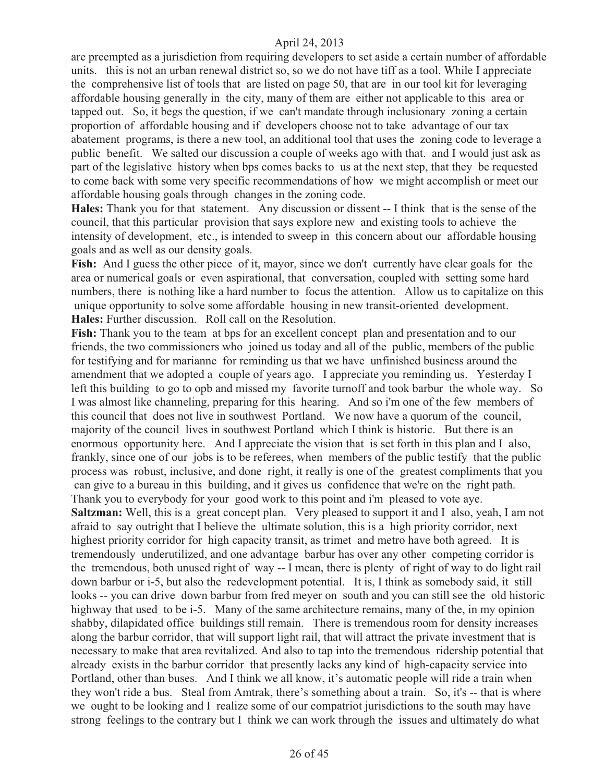are preempted as a jurisdiction from requiring developers to set aside a certain number of affordable units. this is not an urban renewal district so, so we do not have tiff as a tool. While I appreciate the comprehensive list of tools that are listed on page 50, that are in our tool kit for leveraging affordable housing generally in the city, many of them are either not applicable to this area or tapped out. So, it begs the question, if we can't mandate through inclusionary zoning a certain proportion of affordable housing and if developers choose not to take advantage of our tax abatement programs, is there a new tool, an additional tool that uses the zoning code to leverage a public benefit. We salted our discussion a couple of weeks ago with that. and I would just ask as part of the legislative history when bps comes backs to us at the next step, that they be requested to come back with some very specific recommendations of how we might accomplish or meet our affordable housing goals through changes in the zoning code.

**Hales:** Thank you for that statement. Any discussion or dissent -- I think that is the sense of the council, that this particular provision that says explore new and existing tools to achieve the intensity of development, etc., is intended to sweep in this concern about our affordable housing goals and as well as our density goals.

Fish: And I guess the other piece of it, mayor, since we don't currently have clear goals for the area or numerical goals or even aspirational, that conversation, coupled with setting some hard numbers, there is nothing like a hard number to focus the attention. Allow us to capitalize on this unique opportunity to solve some affordable housing in new transit-oriented development. **Hales:** Further discussion. Roll call on the Resolution.

**Fish:** Thank you to the team at bps for an excellent concept plan and presentation and to our friends, the two commissioners who joined us today and all of the public, members of the public for testifying and for marianne for reminding us that we have unfinished business around the amendment that we adopted a couple of years ago. I appreciate you reminding us. Yesterday I left this building to go to opb and missed my favorite turnoff and took barbur the whole way. So I was almost like channeling, preparing for this hearing. And so i'm one of the few members of this council that does not live in southwest Portland. We now have a quorum of the council, majority of the council lives in southwest Portland which I think is historic. But there is an enormous opportunity here. And I appreciate the vision that is set forth in this plan and I also, frankly, since one of our jobs is to be referees, when members of the public testify that the public process was robust, inclusive, and done right, it really is one of the greatest compliments that you can give to a bureau in this building, and it gives us confidence that we're on the right path. Thank you to everybody for your good work to this point and i'm pleased to vote aye. **Saltzman:** Well, this is a great concept plan. Very pleased to support it and I also, yeah, I am not afraid to say outright that I believe the ultimate solution, this is a high priority corridor, next highest priority corridor for high capacity transit, as trimet and metro have both agreed. It is tremendously underutilized, and one advantage barbur has over any other competing corridor is the tremendous, both unused right of way -- I mean, there is plenty of right of way to do light rail down barbur or i-5, but also the redevelopment potential. It is, I think as somebody said, it still looks -- you can drive down barbur from fred meyer on south and you can still see the old historic highway that used to be i-5. Many of the same architecture remains, many of the, in my opinion shabby, dilapidated office buildings still remain. There is tremendous room for density increases along the barbur corridor, that will support light rail, that will attract the private investment that is necessary to make that area revitalized. And also to tap into the tremendous ridership potential that already exists in the barbur corridor that presently lacks any kind of high-capacity service into Portland, other than buses. And I think we all know, it's automatic people will ride a train when they won't ride a bus. Steal from Amtrak, there's something about a train. So, it's -- that is where we ought to be looking and I realize some of our compatriot jurisdictions to the south may have strong feelings to the contrary but I think we can work through the issues and ultimately do what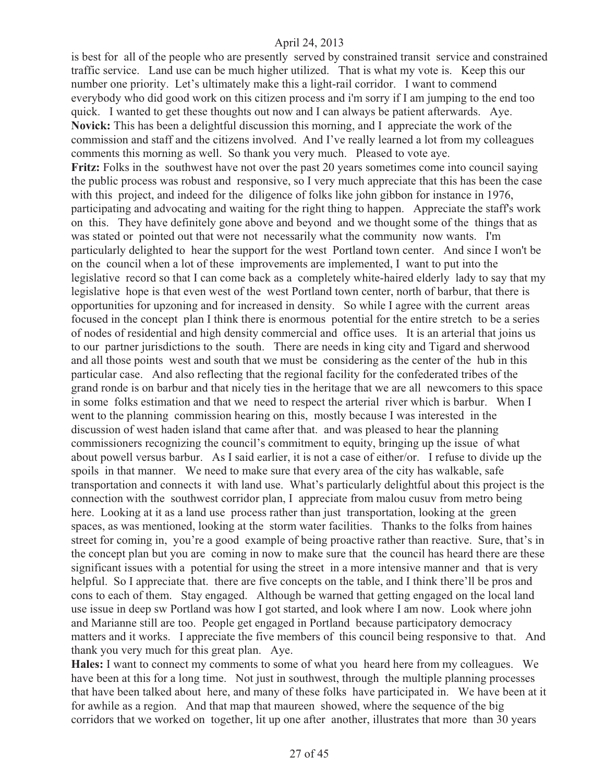is best for all of the people who are presently served by constrained transit service and constrained traffic service. Land use can be much higher utilized. That is what my vote is. Keep this our number one priority. Let's ultimately make this a light-rail corridor. I want to commend everybody who did good work on this citizen process and i'm sorry if I am jumping to the end too quick. I wanted to get these thoughts out now and I can always be patient afterwards. Aye. **Novick:** This has been a delightful discussion this morning, and I appreciate the work of the commission and staff and the citizens involved. And I've really learned a lot from my colleagues comments this morning as well. So thank you very much. Pleased to vote aye. **Fritz:** Folks in the southwest have not over the past 20 years sometimes come into council saying the public process was robust and responsive, so I very much appreciate that this has been the case with this project, and indeed for the diligence of folks like john gibbon for instance in 1976, participating and advocating and waiting for the right thing to happen. Appreciate the staff's work on this. They have definitely gone above and beyond and we thought some of the things that as was stated or pointed out that were not necessarily what the community now wants. I'm particularly delighted to hear the support for the west Portland town center. And since I won't be on the council when a lot of these improvements are implemented, I want to put into the legislative record so that I can come back as a completely white-haired elderly lady to say that my legislative hope is that even west of the west Portland town center, north of barbur, that there is opportunities for upzoning and for increased in density. So while I agree with the current areas focused in the concept plan I think there is enormous potential for the entire stretch to be a series of nodes of residential and high density commercial and office uses. It is an arterial that joins us to our partner jurisdictions to the south. There are needs in king city and Tigard and sherwood and all those points west and south that we must be considering as the center of the hub in this particular case. And also reflecting that the regional facility for the confederated tribes of the grand ronde is on barbur and that nicely ties in the heritage that we are all newcomers to this space in some folks estimation and that we need to respect the arterial river which is barbur. When I went to the planning commission hearing on this, mostly because I was interested in the discussion of west haden island that came after that. and was pleased to hear the planning commissioners recognizing the council's commitment to equity, bringing up the issue of what about powell versus barbur. As I said earlier, it is not a case of either/or. I refuse to divide up the spoils in that manner. We need to make sure that every area of the city has walkable, safe transportation and connects it with land use. What's particularly delightful about this project is the connection with the southwest corridor plan, I appreciate from malou cusuv from metro being here. Looking at it as a land use process rather than just transportation, looking at the green spaces, as was mentioned, looking at the storm water facilities. Thanks to the folks from haines street for coming in, you're a good example of being proactive rather than reactive. Sure, that's in the concept plan but you are coming in now to make sure that the council has heard there are these significant issues with a potential for using the street in a more intensive manner and that is very helpful. So I appreciate that. there are five concepts on the table, and I think there'll be pros and cons to each of them. Stay engaged. Although be warned that getting engaged on the local land use issue in deep sw Portland was how I got started, and look where I am now. Look where john and Marianne still are too. People get engaged in Portland because participatory democracy matters and it works. I appreciate the five members of this council being responsive to that. And thank you very much for this great plan. Aye.

**Hales:** I want to connect my comments to some of what you heard here from my colleagues. We have been at this for a long time. Not just in southwest, through the multiple planning processes that have been talked about here, and many of these folks have participated in. We have been at it for awhile as a region. And that map that maureen showed, where the sequence of the big corridors that we worked on together, lit up one after another, illustrates that more than 30 years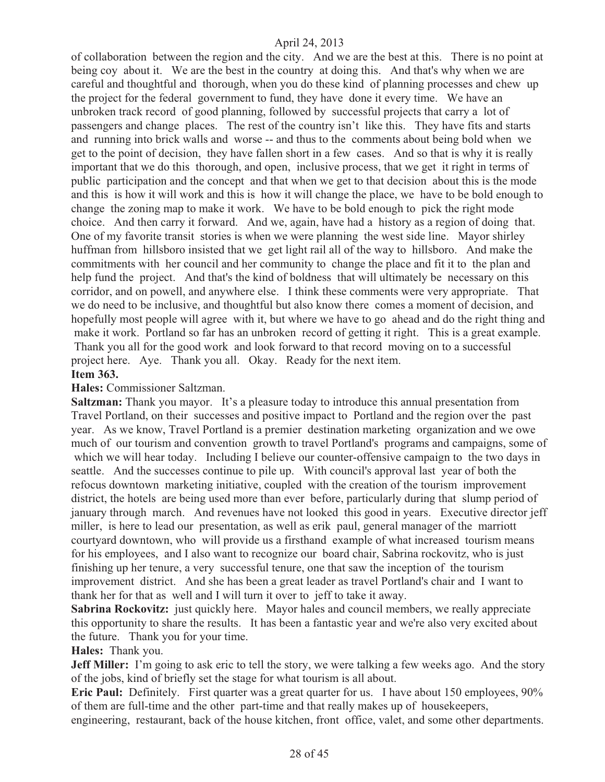of collaboration between the region and the city. And we are the best at this. There is no point at being coy about it. We are the best in the country at doing this. And that's why when we are careful and thoughtful and thorough, when you do these kind of planning processes and chew up the project for the federal government to fund, they have done it every time. We have an unbroken track record of good planning, followed by successful projects that carry a lot of passengers and change places. The rest of the country isn't like this. They have fits and starts and running into brick walls and worse -- and thus to the comments about being bold when we get to the point of decision, they have fallen short in a few cases. And so that is why it is really important that we do this thorough, and open, inclusive process, that we get it right in terms of public participation and the concept and that when we get to that decision about this is the mode and this is how it will work and this is how it will change the place, we have to be bold enough to change the zoning map to make it work. We have to be bold enough to pick the right mode choice. And then carry it forward. And we, again, have had a history as a region of doing that. One of my favorite transit stories is when we were planning the west side line. Mayor shirley huffman from hillsboro insisted that we get light rail all of the way to hillsboro. And make the commitments with her council and her community to change the place and fit it to the plan and help fund the project. And that's the kind of boldness that will ultimately be necessary on this corridor, and on powell, and anywhere else. I think these comments were very appropriate. That we do need to be inclusive, and thoughtful but also know there comes a moment of decision, and hopefully most people will agree with it, but where we have to go ahead and do the right thing and make it work. Portland so far has an unbroken record of getting it right. This is a great example. Thank you all for the good work and look forward to that record moving on to a successful project here. Aye. Thank you all. Okay. Ready for the next item. **Item 363.**

# **Hales:** Commissioner Saltzman.

**Saltzman:** Thank you mayor. It's a pleasure today to introduce this annual presentation from Travel Portland, on their successes and positive impact to Portland and the region over the past year. As we know, Travel Portland is a premier destination marketing organization and we owe much of our tourism and convention growth to travel Portland's programs and campaigns, some of which we will hear today. Including I believe our counter-offensive campaign to the two days in seattle. And the successes continue to pile up. With council's approval last year of both the refocus downtown marketing initiative, coupled with the creation of the tourism improvement district, the hotels are being used more than ever before, particularly during that slump period of january through march. And revenues have not looked this good in years. Executive director jeff miller, is here to lead our presentation, as well as erik paul, general manager of the marriott courtyard downtown, who will provide us a firsthand example of what increased tourism means for his employees, and I also want to recognize our board chair, Sabrina rockovitz, who is just finishing up her tenure, a very successful tenure, one that saw the inception of the tourism improvement district. And she has been a great leader as travel Portland's chair and I want to thank her for that as well and I will turn it over to jeff to take it away.

**Sabrina Rockovitz:** just quickly here. Mayor hales and council members, we really appreciate this opportunity to share the results. It has been a fantastic year and we're also very excited about the future. Thank you for your time.

## **Hales:** Thank you.

**Jeff Miller:** I'm going to ask eric to tell the story, we were talking a few weeks ago. And the story of the jobs, kind of briefly set the stage for what tourism is all about.

**Eric Paul:** Definitely. First quarter was a great quarter for us. I have about 150 employees, 90% of them are full-time and the other part-time and that really makes up of housekeepers, engineering, restaurant, back of the house kitchen, front office, valet, and some other departments.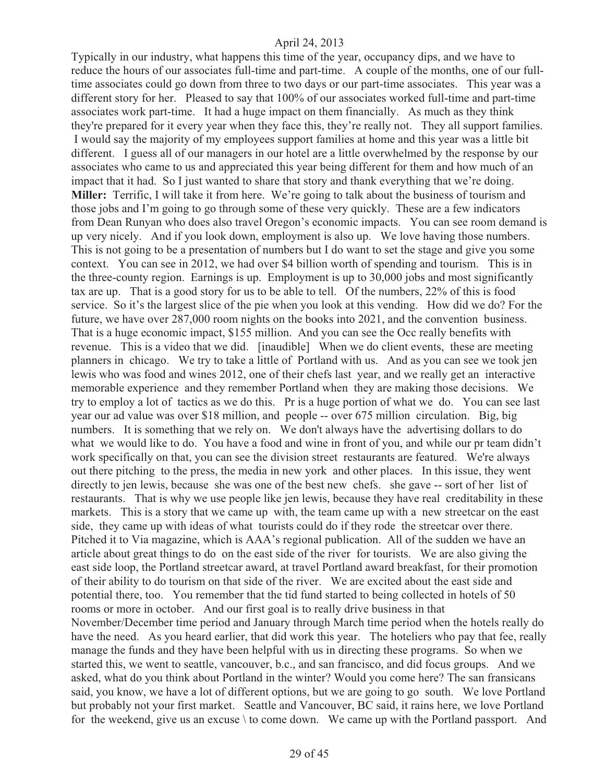Typically in our industry, what happens this time of the year, occupancy dips, and we have to reduce the hours of our associates full-time and part-time. A couple of the months, one of our fulltime associates could go down from three to two days or our part-time associates. This year was a different story for her. Pleased to say that 100% of our associates worked full-time and part-time associates work part-time. It had a huge impact on them financially. As much as they think they're prepared for it every year when they face this, they're really not. They all support families. I would say the majority of my employees support families at home and this year was a little bit different. I guess all of our managers in our hotel are a little overwhelmed by the response by our associates who came to us and appreciated this year being different for them and how much of an impact that it had. So I just wanted to share that story and thank everything that we're doing. **Miller:** Terrific, I will take it from here. We're going to talk about the business of tourism and those jobs and I'm going to go through some of these very quickly. These are a few indicators from Dean Runyan who does also travel Oregon's economic impacts. You can see room demand is up very nicely. And if you look down, employment is also up. We love having those numbers. This is not going to be a presentation of numbers but I do want to set the stage and give you some context. You can see in 2012, we had over \$4 billion worth of spending and tourism. This is in the three-county region. Earnings is up. Employment is up to 30,000 jobs and most significantly tax are up. That is a good story for us to be able to tell. Of the numbers, 22% of this is food service. So it's the largest slice of the pie when you look at this vending. How did we do? For the future, we have over 287,000 room nights on the books into 2021, and the convention business. That is a huge economic impact, \$155 million. And you can see the Occ really benefits with revenue. This is a video that we did. [inaudible] When we do client events, these are meeting planners in chicago. We try to take a little of Portland with us. And as you can see we took jen lewis who was food and wines 2012, one of their chefs last year, and we really get an interactive memorable experience and they remember Portland when they are making those decisions. We try to employ a lot of tactics as we do this. Pr is a huge portion of what we do. You can see last year our ad value was over \$18 million, and people -- over 675 million circulation. Big, big numbers. It is something that we rely on. We don't always have the advertising dollars to do what we would like to do. You have a food and wine in front of you, and while our pr team didn't work specifically on that, you can see the division street restaurants are featured. We're always out there pitching to the press, the media in new york and other places. In this issue, they went directly to jen lewis, because she was one of the best new chefs. she gave -- sort of her list of restaurants. That is why we use people like jen lewis, because they have real creditability in these markets. This is a story that we came up with, the team came up with a new streetcar on the east side, they came up with ideas of what tourists could do if they rode the streetcar over there. Pitched it to Via magazine, which is AAA's regional publication. All of the sudden we have an article about great things to do on the east side of the river for tourists. We are also giving the east side loop, the Portland streetcar award, at travel Portland award breakfast, for their promotion of their ability to do tourism on that side of the river. We are excited about the east side and potential there, too. You remember that the tid fund started to being collected in hotels of 50 rooms or more in october. And our first goal is to really drive business in that November/December time period and January through March time period when the hotels really do have the need. As you heard earlier, that did work this year. The hoteliers who pay that fee, really manage the funds and they have been helpful with us in directing these programs. So when we started this, we went to seattle, vancouver, b.c., and san francisco, and did focus groups. And we asked, what do you think about Portland in the winter? Would you come here? The san fransicans said, you know, we have a lot of different options, but we are going to go south. We love Portland but probably not your first market. Seattle and Vancouver, BC said, it rains here, we love Portland for the weekend, give us an excuse \ to come down. We came up with the Portland passport. And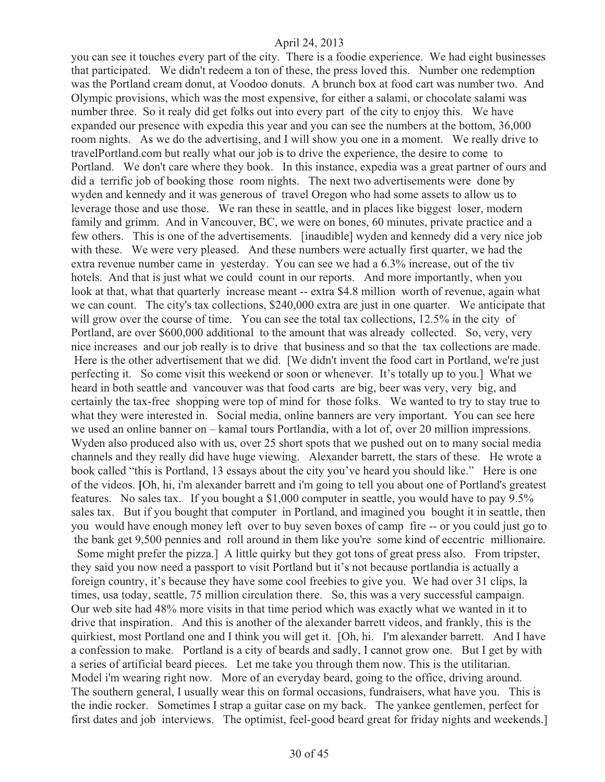you can see it touches every part of the city. There is a foodie experience. We had eight businesses that participated. We didn't redeem a ton of these, the press loved this. Number one redemption was the Portland cream donut, at Voodoo donuts. A brunch box at food cart was number two. And Olympic provisions, which was the most expensive, for either a salami, or chocolate salami was number three. So it realy did get folks out into every part of the city to enjoy this. We have expanded our presence with expedia this year and you can see the numbers at the bottom, 36,000 room nights. As we do the advertising, and I will show you one in a moment. We really drive to travelPortland.com but really what our job is to drive the experience, the desire to come to Portland. We don't care where they book. In this instance, expedia was a great partner of ours and did a terrific job of booking those room nights. The next two advertisements were done by wyden and kennedy and it was generous of travel Oregon who had some assets to allow us to leverage those and use those. We ran these in seattle, and in places like biggest loser, modern family and grimm. And in Vancouver, BC, we were on bones, 60 minutes, private practice and a few others. This is one of the advertisements. [inaudible] wyden and kennedy did a very nice job with these. We were very pleased. And these numbers were actually first quarter, we had the extra revenue number came in yesterday. You can see we had a 6.3% increase, out of the tiv hotels. And that is just what we could count in our reports. And more importantly, when you look at that, what that quarterly increase meant -- extra \$4.8 million worth of revenue, again what we can count. The city's tax collections, \$240,000 extra are just in one quarter. We anticipate that will grow over the course of time. You can see the total tax collections, 12.5% in the city of Portland, are over \$600,000 additional to the amount that was already collected. So, very, very nice increases and our job really is to drive that business and so that the tax collections are made. Here is the other advertisement that we did. [We didn't invent the food cart in Portland, we're just perfecting it. So come visit this weekend or soon or whenever. It's totally up to you.] What we heard in both seattle and vancouver was that food carts are big, beer was very, very big, and certainly the tax-free shopping were top of mind for those folks. We wanted to try to stay true to what they were interested in. Social media, online banners are very important. You can see here we used an online banner on – kamal tours Portlandia, with a lot of, over 20 million impressions. Wyden also produced also with us, over 25 short spots that we pushed out on to many social media channels and they really did have huge viewing. Alexander barrett, the stars of these. He wrote a book called "this is Portland, 13 essays about the city you've heard you should like." Here is one of the videos. **[**Oh, hi, i'm alexander barrett and i'm going to tell you about one of Portland's greatest features. No sales tax. If you bought a \$1,000 computer in seattle, you would have to pay 9.5% sales tax. But if you bought that computer in Portland, and imagined you bought it in seattle, then you would have enough money left over to buy seven boxes of camp fire -- or you could just go to the bank get 9,500 pennies and roll around in them like you're some kind of eccentric millionaire. Some might prefer the pizza.] A little quirky but they got tons of great press also. From tripster, they said you now need a passport to visit Portland but it's not because portlandia is actually a foreign country, it's because they have some cool freebies to give you. We had over 31 clips, la times, usa today, seattle, 75 million circulation there. So, this was a very successful campaign. Our web site had 48% more visits in that time period which was exactly what we wanted in it to drive that inspiration. And this is another of the alexander barrett videos, and frankly, this is the quirkiest, most Portland one and I think you will get it. [Oh, hi. I'm alexander barrett. And I have a confession to make. Portland is a city of beards and sadly, I cannot grow one. But I get by with a series of artificial beard pieces. Let me take you through them now. This is the utilitarian. Model i'm wearing right now. More of an everyday beard, going to the office, driving around. The southern general, I usually wear this on formal occasions, fundraisers, what have you. This is the indie rocker. Sometimes I strap a guitar case on my back. The yankee gentlemen, perfect for first dates and job interviews. The optimist, feel-good beard great for friday nights and weekends.]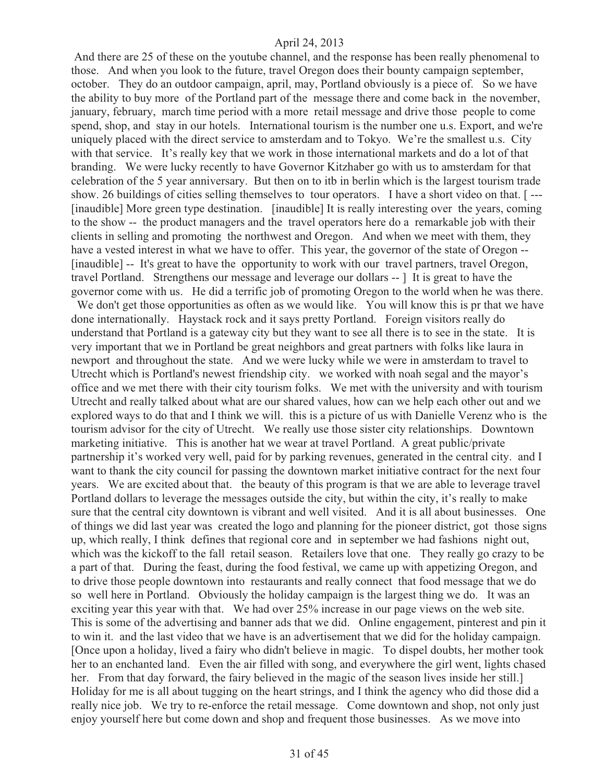And there are 25 of these on the youtube channel, and the response has been really phenomenal to those. And when you look to the future, travel Oregon does their bounty campaign september, october. They do an outdoor campaign, april, may, Portland obviously is a piece of. So we have the ability to buy more of the Portland part of the message there and come back in the november, january, february, march time period with a more retail message and drive those people to come spend, shop, and stay in our hotels. International tourism is the number one u.s. Export, and we're uniquely placed with the direct service to amsterdam and to Tokyo. We're the smallest u.s. City with that service. It's really key that we work in those international markets and do a lot of that branding. We were lucky recently to have Governor Kitzhaber go with us to amsterdam for that celebration of the 5 year anniversary. But then on to itb in berlin which is the largest tourism trade show. 26 buildings of cities selling themselves to tour operators. I have a short video on that. [ --- [inaudible] More green type destination. [inaudible] It is really interesting over the years, coming to the show -- the product managers and the travel operators here do a remarkable job with their clients in selling and promoting the northwest and Oregon. And when we meet with them, they have a vested interest in what we have to offer. This year, the governor of the state of Oregon -- [inaudible] -- It's great to have the opportunity to work with our travel partners, travel Oregon, travel Portland. Strengthens our message and leverage our dollars -- ] It is great to have the governor come with us. He did a terrific job of promoting Oregon to the world when he was there.

We don't get those opportunities as often as we would like. You will know this is pr that we have done internationally. Haystack rock and it says pretty Portland. Foreign visitors really do understand that Portland is a gateway city but they want to see all there is to see in the state. It is very important that we in Portland be great neighbors and great partners with folks like laura in newport and throughout the state. And we were lucky while we were in amsterdam to travel to Utrecht which is Portland's newest friendship city. we worked with noah segal and the mayor's office and we met there with their city tourism folks. We met with the university and with tourism Utrecht and really talked about what are our shared values, how can we help each other out and we explored ways to do that and I think we will. this is a picture of us with Danielle Verenz who is the tourism advisor for the city of Utrecht. We really use those sister city relationships. Downtown marketing initiative. This is another hat we wear at travel Portland. A great public/private partnership it's worked very well, paid for by parking revenues, generated in the central city. and I want to thank the city council for passing the downtown market initiative contract for the next four years. We are excited about that. the beauty of this program is that we are able to leverage travel Portland dollars to leverage the messages outside the city, but within the city, it's really to make sure that the central city downtown is vibrant and well visited. And it is all about businesses. One of things we did last year was created the logo and planning for the pioneer district, got those signs up, which really, I think defines that regional core and in september we had fashions night out, which was the kickoff to the fall retail season. Retailers love that one. They really go crazy to be a part of that. During the feast, during the food festival, we came up with appetizing Oregon, and to drive those people downtown into restaurants and really connect that food message that we do so well here in Portland. Obviously the holiday campaign is the largest thing we do. It was an exciting year this year with that. We had over 25% increase in our page views on the web site. This is some of the advertising and banner ads that we did. Online engagement, pinterest and pin it to win it. and the last video that we have is an advertisement that we did for the holiday campaign. [Once upon a holiday, lived a fairy who didn't believe in magic. To dispel doubts, her mother took her to an enchanted land. Even the air filled with song, and everywhere the girl went, lights chased her. From that day forward, the fairy believed in the magic of the season lives inside her still.] Holiday for me is all about tugging on the heart strings, and I think the agency who did those did a really nice job. We try to re-enforce the retail message. Come downtown and shop, not only just enjoy yourself here but come down and shop and frequent those businesses. As we move into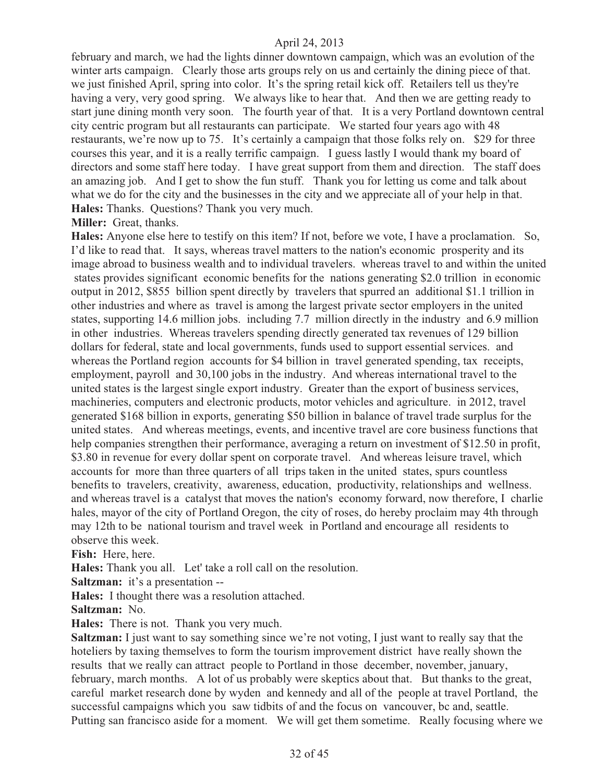february and march, we had the lights dinner downtown campaign, which was an evolution of the winter arts campaign. Clearly those arts groups rely on us and certainly the dining piece of that. we just finished April, spring into color. It's the spring retail kick off. Retailers tell us they're having a very, very good spring. We always like to hear that. And then we are getting ready to start june dining month very soon. The fourth year of that. It is a very Portland downtown central city centric program but all restaurants can participate. We started four years ago with 48 restaurants, we're now up to 75. It's certainly a campaign that those folks rely on. \$29 for three courses this year, and it is a really terrific campaign. I guess lastly I would thank my board of directors and some staff here today. I have great support from them and direction. The staff does an amazing job. And I get to show the fun stuff. Thank you for letting us come and talk about what we do for the city and the businesses in the city and we appreciate all of your help in that. **Hales:** Thanks. Questions? Thank you very much.

**Miller:** Great, thanks.

**Hales:** Anyone else here to testify on this item? If not, before we vote, I have a proclamation. So, I'd like to read that. It says, whereas travel matters to the nation's economic prosperity and its image abroad to business wealth and to individual travelers. whereas travel to and within the united states provides significant economic benefits for the nations generating \$2.0 trillion in economic output in 2012, \$855 billion spent directly by travelers that spurred an additional \$1.1 trillion in other industries and where as travel is among the largest private sector employers in the united states, supporting 14.6 million jobs. including 7.7 million directly in the industry and 6.9 million in other industries. Whereas travelers spending directly generated tax revenues of 129 billion dollars for federal, state and local governments, funds used to support essential services. and whereas the Portland region accounts for \$4 billion in travel generated spending, tax receipts, employment, payroll and 30,100 jobs in the industry. And whereas international travel to the united states is the largest single export industry. Greater than the export of business services, machineries, computers and electronic products, motor vehicles and agriculture. in 2012, travel generated \$168 billion in exports, generating \$50 billion in balance of travel trade surplus for the united states. And whereas meetings, events, and incentive travel are core business functions that help companies strengthen their performance, averaging a return on investment of \$12.50 in profit, \$3.80 in revenue for every dollar spent on corporate travel. And whereas leisure travel, which accounts for more than three quarters of all trips taken in the united states, spurs countless benefits to travelers, creativity, awareness, education, productivity, relationships and wellness. and whereas travel is a catalyst that moves the nation's economy forward, now therefore, I charlie hales, mayor of the city of Portland Oregon, the city of roses, do hereby proclaim may 4th through may 12th to be national tourism and travel week in Portland and encourage all residents to observe this week.

**Fish:** Here, here.

**Hales:** Thank you all. Let' take a roll call on the resolution.

**Saltzman:** it's a presentation --

**Hales:** I thought there was a resolution attached.

**Saltzman:** No.

**Hales:** There is not. Thank you very much.

**Saltzman:** I just want to say something since we're not voting, I just want to really say that the hoteliers by taxing themselves to form the tourism improvement district have really shown the results that we really can attract people to Portland in those december, november, january, february, march months. A lot of us probably were skeptics about that. But thanks to the great, careful market research done by wyden and kennedy and all of the people at travel Portland, the successful campaigns which you saw tidbits of and the focus on vancouver, bc and, seattle. Putting san francisco aside for a moment. We will get them sometime. Really focusing where we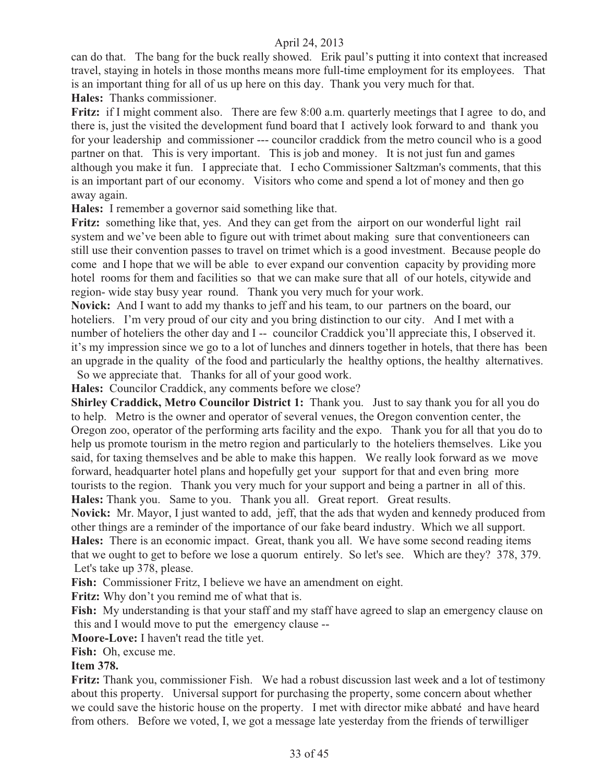can do that. The bang for the buck really showed. Erik paul's putting it into context that increased travel, staying in hotels in those months means more full-time employment for its employees. That is an important thing for all of us up here on this day. Thank you very much for that.

**Hales:** Thanks commissioner.

Fritz: if I might comment also. There are few 8:00 a.m. quarterly meetings that I agree to do, and there is, just the visited the development fund board that I actively look forward to and thank you for your leadership and commissioner --- councilor craddick from the metro council who is a good partner on that. This is very important. This is job and money. It is not just fun and games although you make it fun. I appreciate that. I echo Commissioner Saltzman's comments, that this is an important part of our economy. Visitors who come and spend a lot of money and then go away again.

**Hales:** I remember a governor said something like that.

**Fritz:** something like that, yes. And they can get from the airport on our wonderful light rail system and we've been able to figure out with trimet about making sure that conventioneers can still use their convention passes to travel on trimet which is a good investment. Because people do come and I hope that we will be able to ever expand our convention capacity by providing more hotel rooms for them and facilities so that we can make sure that all of our hotels, citywide and region- wide stay busy year round. Thank you very much for your work.

**Novick:** And I want to add my thanks to jeff and his team, to our partners on the board, our hoteliers. I'm very proud of our city and you bring distinction to our city. And I met with a number of hoteliers the other day and I -- councilor Craddick you'll appreciate this, I observed it. it's my impression since we go to a lot of lunches and dinners together in hotels, that there has been an upgrade in the quality of the food and particularly the healthy options, the healthy alternatives. So we appreciate that. Thanks for all of your good work.

**Hales:** Councilor Craddick, any comments before we close?

**Shirley Craddick, Metro Councilor District 1:** Thank you. Just to say thank you for all you do to help. Metro is the owner and operator of several venues, the Oregon convention center, the Oregon zoo, operator of the performing arts facility and the expo. Thank you for all that you do to help us promote tourism in the metro region and particularly to the hoteliers themselves. Like you said, for taxing themselves and be able to make this happen. We really look forward as we move forward, headquarter hotel plans and hopefully get your support for that and even bring more tourists to the region. Thank you very much for your support and being a partner in all of this. **Hales:** Thank you. Same to you. Thank you all. Great report. Great results.

**Novick:** Mr. Mayor, I just wanted to add, jeff, that the ads that wyden and kennedy produced from other things are a reminder of the importance of our fake beard industry. Which we all support. **Hales:** There is an economic impact. Great, thank you all. We have some second reading items that we ought to get to before we lose a quorum entirely. So let's see. Which are they? 378, 379. Let's take up 378, please.

**Fish:** Commissioner Fritz, I believe we have an amendment on eight.

**Fritz:** Why don't you remind me of what that is.

**Fish:** My understanding is that your staff and my staff have agreed to slap an emergency clause on this and I would move to put the emergency clause --

**Moore-Love:** I haven't read the title yet.

**Fish:** Oh, excuse me.

## **Item 378.**

**Fritz:** Thank you, commissioner Fish. We had a robust discussion last week and a lot of testimony about this property. Universal support for purchasing the property, some concern about whether we could save the historic house on the property. I met with director mike abbaté and have heard from others. Before we voted, I, we got a message late yesterday from the friends of terwilliger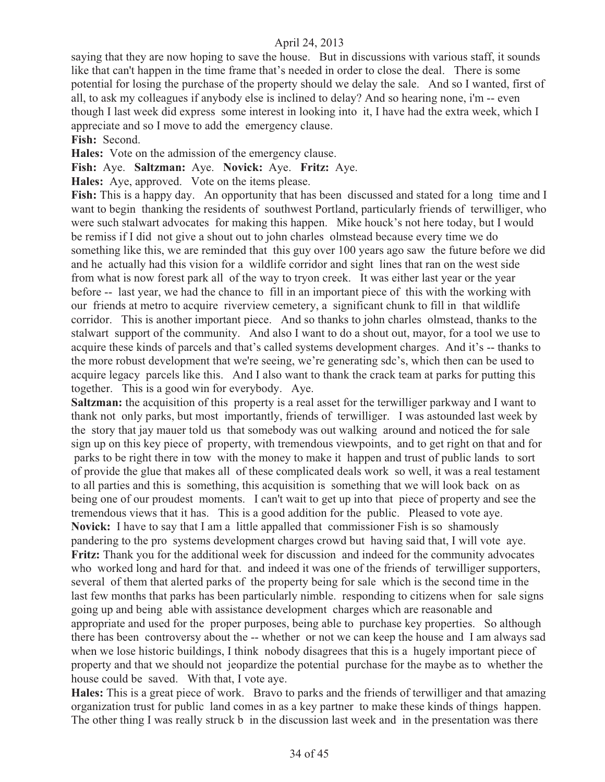saying that they are now hoping to save the house. But in discussions with various staff, it sounds like that can't happen in the time frame that's needed in order to close the deal. There is some potential for losing the purchase of the property should we delay the sale. And so I wanted, first of all, to ask my colleagues if anybody else is inclined to delay? And so hearing none, i'm -- even though I last week did express some interest in looking into it, I have had the extra week, which I appreciate and so I move to add the emergency clause.

**Fish:** Second.

**Hales:** Vote on the admission of the emergency clause.

**Fish:** Aye. **Saltzman:** Aye. **Novick:** Aye. **Fritz:** Aye.

**Hales:** Aye, approved. Vote on the items please.

**Fish:** This is a happy day. An opportunity that has been discussed and stated for a long time and I want to begin thanking the residents of southwest Portland, particularly friends of terwilliger, who were such stalwart advocates for making this happen. Mike houck's not here today, but I would be remiss if I did not give a shout out to john charles olmstead because every time we do something like this, we are reminded that this guy over 100 years ago saw the future before we did and he actually had this vision for a wildlife corridor and sight lines that ran on the west side from what is now forest park all of the way to tryon creek. It was either last year or the year before -- last year, we had the chance to fill in an important piece of this with the working with our friends at metro to acquire riverview cemetery, a significant chunk to fill in that wildlife corridor. This is another important piece. And so thanks to john charles olmstead, thanks to the stalwart support of the community. And also I want to do a shout out, mayor, for a tool we use to acquire these kinds of parcels and that's called systems development charges. And it's -- thanks to the more robust development that we're seeing, we're generating sdc's, which then can be used to acquire legacy parcels like this. And I also want to thank the crack team at parks for putting this together. This is a good win for everybody. Aye.

**Saltzman:** the acquisition of this property is a real asset for the terwilliger parkway and I want to thank not only parks, but most importantly, friends of terwilliger. I was astounded last week by the story that jay mauer told us that somebody was out walking around and noticed the for sale sign up on this key piece of property, with tremendous viewpoints, and to get right on that and for parks to be right there in tow with the money to make it happen and trust of public lands to sort of provide the glue that makes all of these complicated deals work so well, it was a real testament to all parties and this is something, this acquisition is something that we will look back on as being one of our proudest moments. I can't wait to get up into that piece of property and see the tremendous views that it has. This is a good addition for the public. Pleased to vote aye. **Novick:** I have to say that I am a little appalled that commissioner Fish is so shamously pandering to the pro systems development charges crowd but having said that, I will vote aye. **Fritz:** Thank you for the additional week for discussion and indeed for the community advocates who worked long and hard for that. and indeed it was one of the friends of terwilliger supporters, several of them that alerted parks of the property being for sale which is the second time in the last few months that parks has been particularly nimble. responding to citizens when for sale signs going up and being able with assistance development charges which are reasonable and appropriate and used for the proper purposes, being able to purchase key properties. So although there has been controversy about the -- whether or not we can keep the house and I am always sad when we lose historic buildings, I think nobody disagrees that this is a hugely important piece of property and that we should not jeopardize the potential purchase for the maybe as to whether the house could be saved. With that, I vote aye.

**Hales:** This is a great piece of work. Bravo to parks and the friends of terwilliger and that amazing organization trust for public land comes in as a key partner to make these kinds of things happen. The other thing I was really struck b in the discussion last week and in the presentation was there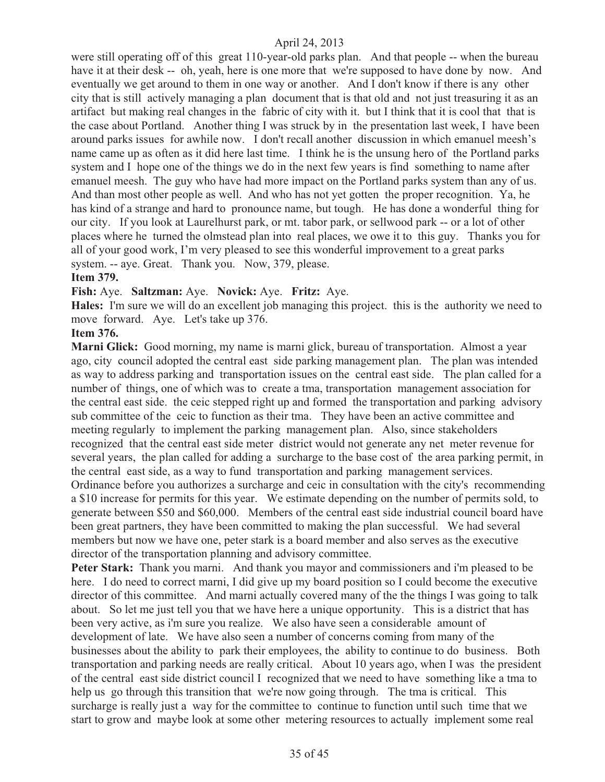were still operating off of this great 110-year-old parks plan. And that people -- when the bureau have it at their desk -- oh, yeah, here is one more that we're supposed to have done by now. And eventually we get around to them in one way or another. And I don't know if there is any other city that is still actively managing a plan document that is that old and not just treasuring it as an artifact but making real changes in the fabric of city with it. but I think that it is cool that that is the case about Portland. Another thing I was struck by in the presentation last week, I have been around parks issues for awhile now. I don't recall another discussion in which emanuel meesh's name came up as often as it did here last time. I think he is the unsung hero of the Portland parks system and I hope one of the things we do in the next few years is find something to name after emanuel meesh. The guy who have had more impact on the Portland parks system than any of us. And than most other people as well. And who has not yet gotten the proper recognition. Ya, he has kind of a strange and hard to pronounce name, but tough. He has done a wonderful thing for our city. If you look at Laurelhurst park, or mt. tabor park, or sellwood park -- or a lot of other places where he turned the olmstead plan into real places, we owe it to this guy. Thanks you for all of your good work, I'm very pleased to see this wonderful improvement to a great parks system. -- aye. Great. Thank you. Now, 379, please.

#### **Item 379.**

#### **Fish:** Aye. **Saltzman:** Aye. **Novick:** Aye. **Fritz:** Aye.

**Hales:** I'm sure we will do an excellent job managing this project. this is the authority we need to move forward. Aye. Let's take up 376.

#### **Item 376.**

**Marni Glick:** Good morning, my name is marni glick, bureau of transportation. Almost a year ago, city council adopted the central east side parking management plan. The plan was intended as way to address parking and transportation issues on the central east side. The plan called for a number of things, one of which was to create a tma, transportation management association for the central east side. the ceic stepped right up and formed the transportation and parking advisory sub committee of the ceic to function as their tma. They have been an active committee and meeting regularly to implement the parking management plan. Also, since stakeholders recognized that the central east side meter district would not generate any net meter revenue for several years, the plan called for adding a surcharge to the base cost of the area parking permit, in the central east side, as a way to fund transportation and parking management services. Ordinance before you authorizes a surcharge and ceic in consultation with the city's recommending a \$10 increase for permits for this year. We estimate depending on the number of permits sold, to generate between \$50 and \$60,000. Members of the central east side industrial council board have been great partners, they have been committed to making the plan successful. We had several members but now we have one, peter stark is a board member and also serves as the executive director of the transportation planning and advisory committee.

**Peter Stark:** Thank you marni. And thank you mayor and commissioners and i'm pleased to be here. I do need to correct marni, I did give up my board position so I could become the executive director of this committee. And marni actually covered many of the the things I was going to talk about. So let me just tell you that we have here a unique opportunity. This is a district that has been very active, as i'm sure you realize. We also have seen a considerable amount of development of late. We have also seen a number of concerns coming from many of the businesses about the ability to park their employees, the ability to continue to do business. Both transportation and parking needs are really critical. About 10 years ago, when I was the president of the central east side district council I recognized that we need to have something like a tma to help us go through this transition that we're now going through. The tma is critical. This surcharge is really just a way for the committee to continue to function until such time that we start to grow and maybe look at some other metering resources to actually implement some real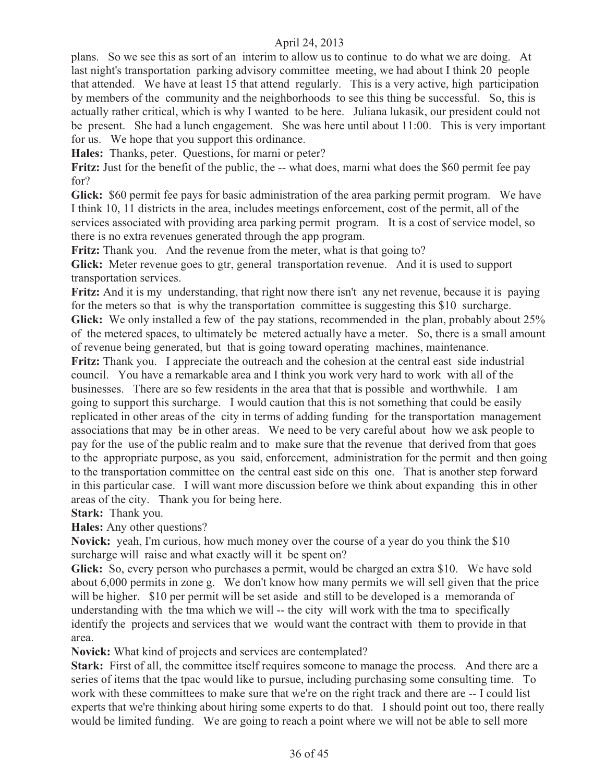plans. So we see this as sort of an interim to allow us to continue to do what we are doing. At last night's transportation parking advisory committee meeting, we had about I think 20 people that attended. We have at least 15 that attend regularly. This is a very active, high participation by members of the community and the neighborhoods to see this thing be successful. So, this is actually rather critical, which is why I wanted to be here. Juliana lukasik, our president could not be present. She had a lunch engagement. She was here until about 11:00. This is very important for us. We hope that you support this ordinance.

**Hales:** Thanks, peter. Questions, for marni or peter?

**Fritz:** Just for the benefit of the public, the -- what does, marni what does the \$60 permit fee pay for?

**Glick:** \$60 permit fee pays for basic administration of the area parking permit program. We have I think 10, 11 districts in the area, includes meetings enforcement, cost of the permit, all of the services associated with providing area parking permit program. It is a cost of service model, so there is no extra revenues generated through the app program.

**Fritz:** Thank you. And the revenue from the meter, what is that going to?

**Glick:** Meter revenue goes to gtr, general transportation revenue. And it is used to support transportation services.

**Fritz:** And it is my understanding, that right now there isn't any net revenue, because it is paying for the meters so that is why the transportation committee is suggesting this \$10 surcharge. **Glick:** We only installed a few of the pay stations, recommended in the plan, probably about 25% of the metered spaces, to ultimately be metered actually have a meter. So, there is a small amount of revenue being generated, but that is going toward operating machines, maintenance.

**Fritz:** Thank you. I appreciate the outreach and the cohesion at the central east side industrial council. You have a remarkable area and I think you work very hard to work with all of the businesses. There are so few residents in the area that that is possible and worthwhile. I am going to support this surcharge. I would caution that this is not something that could be easily replicated in other areas of the city in terms of adding funding for the transportation management associations that may be in other areas. We need to be very careful about how we ask people to pay for the use of the public realm and to make sure that the revenue that derived from that goes to the appropriate purpose, as you said, enforcement, administration for the permit and then going to the transportation committee on the central east side on this one. That is another step forward in this particular case. I will want more discussion before we think about expanding this in other areas of the city. Thank you for being here.

**Stark:** Thank you.

**Hales:** Any other questions?

**Novick:** yeah, I'm curious, how much money over the course of a year do you think the \$10 surcharge will raise and what exactly will it be spent on?

**Glick:** So, every person who purchases a permit, would be charged an extra \$10. We have sold about 6,000 permits in zone g. We don't know how many permits we will sell given that the price will be higher. \$10 per permit will be set aside and still to be developed is a memoranda of understanding with the tma which we will -- the city will work with the tma to specifically identify the projects and services that we would want the contract with them to provide in that area.

**Novick:** What kind of projects and services are contemplated?

**Stark:** First of all, the committee itself requires someone to manage the process. And there are a series of items that the tpac would like to pursue, including purchasing some consulting time. To work with these committees to make sure that we're on the right track and there are -- I could list experts that we're thinking about hiring some experts to do that. I should point out too, there really would be limited funding. We are going to reach a point where we will not be able to sell more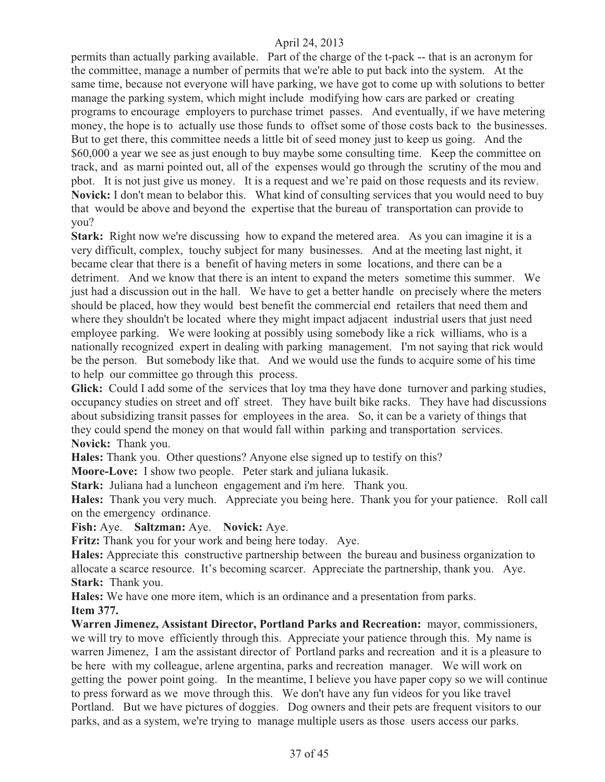permits than actually parking available. Part of the charge of the t-pack -- that is an acronym for the committee, manage a number of permits that we're able to put back into the system. At the same time, because not everyone will have parking, we have got to come up with solutions to better manage the parking system, which might include modifying how cars are parked or creating programs to encourage employers to purchase trimet passes. And eventually, if we have metering money, the hope is to actually use those funds to offset some of those costs back to the businesses. But to get there, this committee needs a little bit of seed money just to keep us going. And the \$60,000 a year we see as just enough to buy maybe some consulting time. Keep the committee on track, and as marni pointed out, all of the expenses would go through the scrutiny of the mou and pbot. It is not just give us money. It is a request and we're paid on those requests and its review. **Novick:** I don't mean to belabor this. What kind of consulting services that you would need to buy that would be above and beyond the expertise that the bureau of transportation can provide to you?

**Stark:** Right now we're discussing how to expand the metered area. As you can imagine it is a very difficult, complex, touchy subject for many businesses. And at the meeting last night, it became clear that there is a benefit of having meters in some locations, and there can be a detriment. And we know that there is an intent to expand the meters sometime this summer. We just had a discussion out in the hall. We have to get a better handle on precisely where the meters should be placed, how they would best benefit the commercial end retailers that need them and where they shouldn't be located where they might impact adjacent industrial users that just need employee parking. We were looking at possibly using somebody like a rick williams, who is a nationally recognized expert in dealing with parking management. I'm not saying that rick would be the person. But somebody like that. And we would use the funds to acquire some of his time to help our committee go through this process.

**Glick:** Could I add some of the services that loy tma they have done turnover and parking studies, occupancy studies on street and off street. They have built bike racks. They have had discussions about subsidizing transit passes for employees in the area. So, it can be a variety of things that they could spend the money on that would fall within parking and transportation services. **Novick:** Thank you.

**Hales:** Thank you. Other questions? Anyone else signed up to testify on this?

**Moore-Love:** I show two people. Peter stark and juliana lukasik.

**Stark:** Juliana had a luncheon engagement and i'm here. Thank you.

**Hales:** Thank you very much. Appreciate you being here. Thank you for your patience. Roll call on the emergency ordinance.

**Fish:** Aye. **Saltzman:** Aye. **Novick:** Aye.

**Fritz:** Thank you for your work and being here today. Aye.

**Hales:** Appreciate this constructive partnership between the bureau and business organization to allocate a scarce resource. It's becoming scarcer. Appreciate the partnership, thank you. Aye. **Stark:** Thank you.

**Hales:** We have one more item, which is an ordinance and a presentation from parks. **Item 377.**

**Warren Jimenez, Assistant Director, Portland Parks and Recreation:** mayor, commissioners, we will try to move efficiently through this. Appreciate your patience through this. My name is warren Jimenez, I am the assistant director of Portland parks and recreation and it is a pleasure to be here with my colleague, arlene argentina, parks and recreation manager. We will work on getting the power point going. In the meantime, I believe you have paper copy so we will continue to press forward as we move through this. We don't have any fun videos for you like travel Portland. But we have pictures of doggies. Dog owners and their pets are frequent visitors to our parks, and as a system, we're trying to manage multiple users as those users access our parks.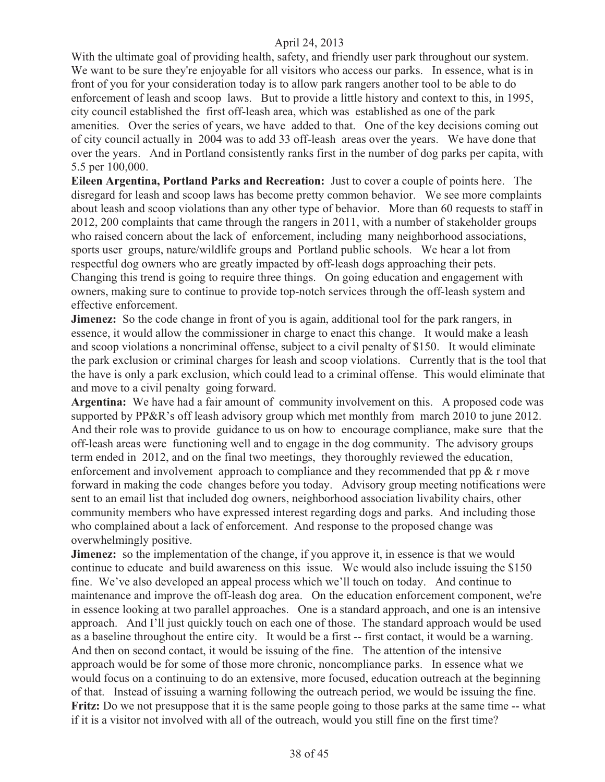With the ultimate goal of providing health, safety, and friendly user park throughout our system. We want to be sure they're enjoyable for all visitors who access our parks. In essence, what is in front of you for your consideration today is to allow park rangers another tool to be able to do enforcement of leash and scoop laws. But to provide a little history and context to this, in 1995, city council established the first off-leash area, which was established as one of the park amenities. Over the series of years, we have added to that. One of the key decisions coming out of city council actually in 2004 was to add 33 off-leash areas over the years. We have done that over the years. And in Portland consistently ranks first in the number of dog parks per capita, with 5.5 per 100,000.

**Eileen Argentina, Portland Parks and Recreation:** Just to cover a couple of points here. The disregard for leash and scoop laws has become pretty common behavior. We see more complaints about leash and scoop violations than any other type of behavior. More than 60 requests to staff in 2012, 200 complaints that came through the rangers in 2011, with a number of stakeholder groups who raised concern about the lack of enforcement, including many neighborhood associations, sports user groups, nature/wildlife groups and Portland public schools. We hear a lot from respectful dog owners who are greatly impacted by off-leash dogs approaching their pets. Changing this trend is going to require three things. On going education and engagement with owners, making sure to continue to provide top-notch services through the off-leash system and effective enforcement.

**Jimenez:** So the code change in front of you is again, additional tool for the park rangers, in essence, it would allow the commissioner in charge to enact this change. It would make a leash and scoop violations a noncriminal offense, subject to a civil penalty of \$150. It would eliminate the park exclusion or criminal charges for leash and scoop violations. Currently that is the tool that the have is only a park exclusion, which could lead to a criminal offense. This would eliminate that and move to a civil penalty going forward.

**Argentina:** We have had a fair amount of community involvement on this. A proposed code was supported by PP&R's off leash advisory group which met monthly from march 2010 to june 2012. And their role was to provide guidance to us on how to encourage compliance, make sure that the off-leash areas were functioning well and to engage in the dog community. The advisory groups term ended in 2012, and on the final two meetings, they thoroughly reviewed the education, enforcement and involvement approach to compliance and they recommended that pp  $\&$  r move forward in making the code changes before you today. Advisory group meeting notifications were sent to an email list that included dog owners, neighborhood association livability chairs, other community members who have expressed interest regarding dogs and parks. And including those who complained about a lack of enforcement. And response to the proposed change was overwhelmingly positive.

**Jimenez:** so the implementation of the change, if you approve it, in essence is that we would continue to educate and build awareness on this issue. We would also include issuing the \$150 fine. We've also developed an appeal process which we'll touch on today. And continue to maintenance and improve the off-leash dog area. On the education enforcement component, we're in essence looking at two parallel approaches. One is a standard approach, and one is an intensive approach. And I'll just quickly touch on each one of those. The standard approach would be used as a baseline throughout the entire city. It would be a first -- first contact, it would be a warning. And then on second contact, it would be issuing of the fine. The attention of the intensive approach would be for some of those more chronic, noncompliance parks. In essence what we would focus on a continuing to do an extensive, more focused, education outreach at the beginning of that. Instead of issuing a warning following the outreach period, we would be issuing the fine. **Fritz:** Do we not presuppose that it is the same people going to those parks at the same time -- what if it is a visitor not involved with all of the outreach, would you still fine on the first time?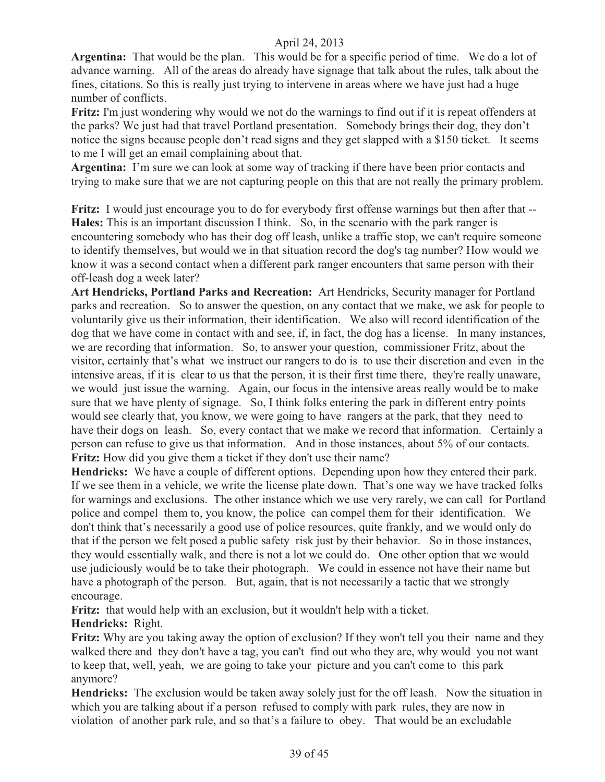**Argentina:** That would be the plan. This would be for a specific period of time. We do a lot of advance warning. All of the areas do already have signage that talk about the rules, talk about the fines, citations. So this is really just trying to intervene in areas where we have just had a huge number of conflicts.

**Fritz:** I'm just wondering why would we not do the warnings to find out if it is repeat offenders at the parks? We just had that travel Portland presentation. Somebody brings their dog, they don't notice the signs because people don't read signs and they get slapped with a \$150 ticket. It seems to me I will get an email complaining about that.

**Argentina:** I'm sure we can look at some way of tracking if there have been prior contacts and trying to make sure that we are not capturing people on this that are not really the primary problem.

**Fritz:** I would just encourage you to do for everybody first offense warnings but then after that -- **Hales:** This is an important discussion I think. So, in the scenario with the park ranger is encountering somebody who has their dog off leash, unlike a traffic stop, we can't require someone to identify themselves, but would we in that situation record the dog's tag number? How would we know it was a second contact when a different park ranger encounters that same person with their off-leash dog a week later?

**Art Hendricks, Portland Parks and Recreation:** Art Hendricks, Security manager for Portland parks and recreation. So to answer the question, on any contact that we make, we ask for people to voluntarily give us their information, their identification. We also will record identification of the dog that we have come in contact with and see, if, in fact, the dog has a license. In many instances, we are recording that information. So, to answer your question, commissioner Fritz, about the visitor, certainly that's what we instruct our rangers to do is to use their discretion and even in the intensive areas, if it is clear to us that the person, it is their first time there, they're really unaware, we would just issue the warning. Again, our focus in the intensive areas really would be to make sure that we have plenty of signage. So, I think folks entering the park in different entry points would see clearly that, you know, we were going to have rangers at the park, that they need to have their dogs on leash. So, every contact that we make we record that information. Certainly a person can refuse to give us that information. And in those instances, about 5% of our contacts. **Fritz:** How did you give them a ticket if they don't use their name?

**Hendricks:** We have a couple of different options. Depending upon how they entered their park. If we see them in a vehicle, we write the license plate down. That's one way we have tracked folks for warnings and exclusions. The other instance which we use very rarely, we can call for Portland police and compel them to, you know, the police can compel them for their identification. We don't think that's necessarily a good use of police resources, quite frankly, and we would only do that if the person we felt posed a public safety risk just by their behavior. So in those instances, they would essentially walk, and there is not a lot we could do. One other option that we would use judiciously would be to take their photograph. We could in essence not have their name but have a photograph of the person. But, again, that is not necessarily a tactic that we strongly encourage.

**Fritz:** that would help with an exclusion, but it wouldn't help with a ticket.

**Hendricks:** Right.

**Fritz:** Why are you taking away the option of exclusion? If they won't tell you their name and they walked there and they don't have a tag, you can't find out who they are, why would you not want to keep that, well, yeah, we are going to take your picture and you can't come to this park anymore?

**Hendricks:** The exclusion would be taken away solely just for the off leash. Now the situation in which you are talking about if a person refused to comply with park rules, they are now in violation of another park rule, and so that's a failure to obey. That would be an excludable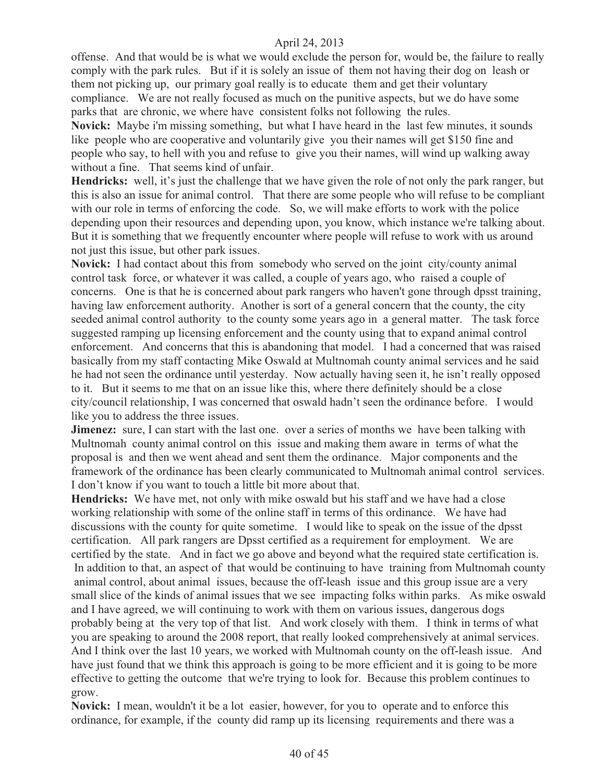offense. And that would be is what we would exclude the person for, would be, the failure to really comply with the park rules. But if it is solely an issue of them not having their dog on leash or them not picking up, our primary goal really is to educate them and get their voluntary compliance. We are not really focused as much on the punitive aspects, but we do have some parks that are chronic, we where have consistent folks not following the rules.

**Novick:** Maybe i'm missing something, but what I have heard in the last few minutes, it sounds like people who are cooperative and voluntarily give you their names will get \$150 fine and people who say, to hell with you and refuse to give you their names, will wind up walking away without a fine. That seems kind of unfair.

**Hendricks:** well, it's just the challenge that we have given the role of not only the park ranger, but this is also an issue for animal control. That there are some people who will refuse to be compliant with our role in terms of enforcing the code. So, we will make efforts to work with the police depending upon their resources and depending upon, you know, which instance we're talking about. But it is something that we frequently encounter where people will refuse to work with us around not just this issue, but other park issues.

**Novick:** I had contact about this from somebody who served on the joint city/county animal control task force, or whatever it was called, a couple of years ago, who raised a couple of concerns. One is that he is concerned about park rangers who haven't gone through dpsst training, having law enforcement authority. Another is sort of a general concern that the county, the city seeded animal control authority to the county some years ago in a general matter. The task force suggested ramping up licensing enforcement and the county using that to expand animal control enforcement. And concerns that this is abandoning that model. I had a concerned that was raised basically from my staff contacting Mike Oswald at Multnomah county animal services and he said he had not seen the ordinance until yesterday. Now actually having seen it, he isn't really opposed to it. But it seems to me that on an issue like this, where there definitely should be a close city/council relationship, I was concerned that oswald hadn't seen the ordinance before. I would like you to address the three issues.

**Jimenez:** sure, I can start with the last one. over a series of months we have been talking with Multnomah county animal control on this issue and making them aware in terms of what the proposal is and then we went ahead and sent them the ordinance. Major components and the framework of the ordinance has been clearly communicated to Multnomah animal control services. I don't know if you want to touch a little bit more about that.

**Hendricks:** We have met, not only with mike oswald but his staff and we have had a close working relationship with some of the online staff in terms of this ordinance. We have had discussions with the county for quite sometime. I would like to speak on the issue of the dpsst certification. All park rangers are Dpsst certified as a requirement for employment. We are certified by the state. And in fact we go above and beyond what the required state certification is. In addition to that, an aspect of that would be continuing to have training from Multnomah county animal control, about animal issues, because the off-leash issue and this group issue are a very small slice of the kinds of animal issues that we see impacting folks within parks. As mike oswald and I have agreed, we will continuing to work with them on various issues, dangerous dogs probably being at the very top of that list. And work closely with them. I think in terms of what you are speaking to around the 2008 report, that really looked comprehensively at animal services. And I think over the last 10 years, we worked with Multnomah county on the off-leash issue. And have just found that we think this approach is going to be more efficient and it is going to be more effective to getting the outcome that we're trying to look for. Because this problem continues to grow.

**Novick:** I mean, wouldn't it be a lot easier, however, for you to operate and to enforce this ordinance, for example, if the county did ramp up its licensing requirements and there was a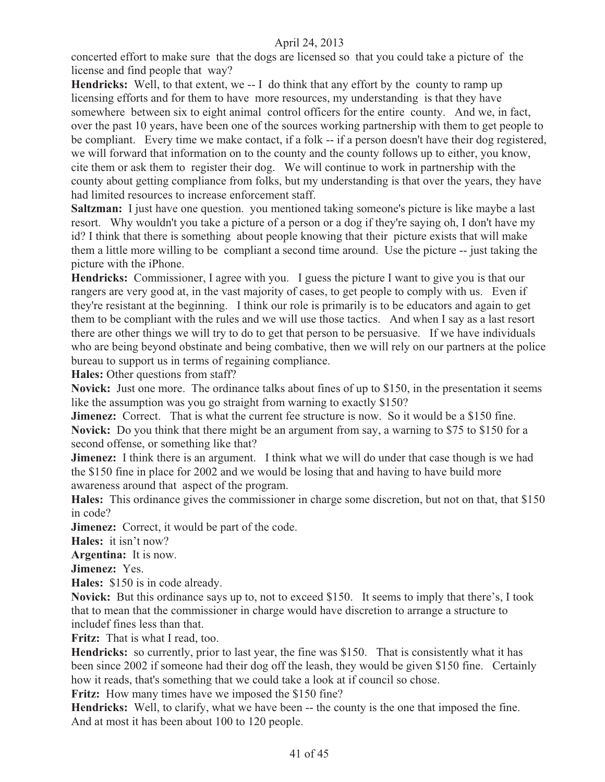concerted effort to make sure that the dogs are licensed so that you could take a picture of the license and find people that way?

**Hendricks:** Well, to that extent, we -- I do think that any effort by the county to ramp up licensing efforts and for them to have more resources, my understanding is that they have somewhere between six to eight animal control officers for the entire county. And we, in fact, over the past 10 years, have been one of the sources working partnership with them to get people to be compliant. Every time we make contact, if a folk -- if a person doesn't have their dog registered, we will forward that information on to the county and the county follows up to either, you know, cite them or ask them to register their dog. We will continue to work in partnership with the county about getting compliance from folks, but my understanding is that over the years, they have had limited resources to increase enforcement staff.

**Saltzman:** I just have one question. you mentioned taking someone's picture is like maybe a last resort. Why wouldn't you take a picture of a person or a dog if they're saying oh, I don't have my id? I think that there is something about people knowing that their picture exists that will make them a little more willing to be compliant a second time around. Use the picture -- just taking the picture with the iPhone.

**Hendricks:** Commissioner, I agree with you. I guess the picture I want to give you is that our rangers are very good at, in the vast majority of cases, to get people to comply with us. Even if they're resistant at the beginning. I think our role is primarily is to be educators and again to get them to be compliant with the rules and we will use those tactics. And when I say as a last resort there are other things we will try to do to get that person to be persuasive. If we have individuals who are being beyond obstinate and being combative, then we will rely on our partners at the police bureau to support us in terms of regaining compliance.

**Hales:** Other questions from staff?

**Novick:** Just one more. The ordinance talks about fines of up to \$150, in the presentation it seems like the assumption was you go straight from warning to exactly \$150?

**Jimenez:** Correct. That is what the current fee structure is now. So it would be a \$150 fine. **Novick:** Do you think that there might be an argument from say, a warning to \$75 to \$150 for a second offense, or something like that?

**Jimenez:** I think there is an argument. I think what we will do under that case though is we had the \$150 fine in place for 2002 and we would be losing that and having to have build more awareness around that aspect of the program.

**Hales:** This ordinance gives the commissioner in charge some discretion, but not on that, that \$150 in code?

**Jimenez:** Correct, it would be part of the code.

**Hales:** it isn't now?

**Argentina:** It is now.

**Jimenez:** Yes.

**Hales:** \$150 is in code already.

**Novick:** But this ordinance says up to, not to exceed \$150. It seems to imply that there's, I took that to mean that the commissioner in charge would have discretion to arrange a structure to includef fines less than that.

**Fritz:** That is what I read, too.

**Hendricks:** so currently, prior to last year, the fine was \$150. That is consistently what it has been since 2002 if someone had their dog off the leash, they would be given \$150 fine. Certainly how it reads, that's something that we could take a look at if council so chose.

Fritz: How many times have we imposed the \$150 fine?

**Hendricks:** Well, to clarify, what we have been -- the county is the one that imposed the fine. And at most it has been about 100 to 120 people.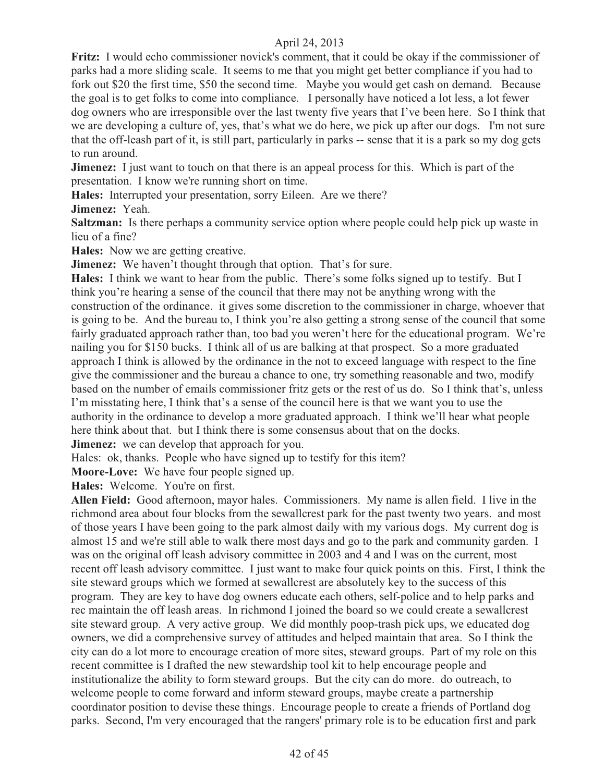Fritz: I would echo commissioner novick's comment, that it could be okay if the commissioner of parks had a more sliding scale. It seems to me that you might get better compliance if you had to fork out \$20 the first time, \$50 the second time. Maybe you would get cash on demand. Because the goal is to get folks to come into compliance. I personally have noticed a lot less, a lot fewer dog owners who are irresponsible over the last twenty five years that I've been here. So I think that we are developing a culture of, yes, that's what we do here, we pick up after our dogs. I'm not sure that the off-leash part of it, is still part, particularly in parks -- sense that it is a park so my dog gets to run around.

**Jimenez:** I just want to touch on that there is an appeal process for this. Which is part of the presentation. I know we're running short on time.

**Hales:** Interrupted your presentation, sorry Eileen. Are we there?

**Jimenez:** Yeah.

**Saltzman:** Is there perhaps a community service option where people could help pick up waste in lieu of a fine?

**Hales:** Now we are getting creative.

**Jimenez:** We haven't thought through that option. That's for sure.

**Hales:** I think we want to hear from the public. There's some folks signed up to testify. But I think you're hearing a sense of the council that there may not be anything wrong with the construction of the ordinance. it gives some discretion to the commissioner in charge, whoever that is going to be. And the bureau to, I think you're also getting a strong sense of the council that some fairly graduated approach rather than, too bad you weren't here for the educational program. We're nailing you for \$150 bucks. I think all of us are balking at that prospect. So a more graduated approach I think is allowed by the ordinance in the not to exceed language with respect to the fine give the commissioner and the bureau a chance to one, try something reasonable and two, modify based on the number of emails commissioner fritz gets or the rest of us do. So I think that's, unless I'm misstating here, I think that's a sense of the council here is that we want you to use the authority in the ordinance to develop a more graduated approach. I think we'll hear what people here think about that. but I think there is some consensus about that on the docks.

**Jimenez:** we can develop that approach for you.

Hales: ok, thanks. People who have signed up to testify for this item?

**Moore-Love:** We have four people signed up.

Hales: Welcome. You're on first.

**Allen Field:** Good afternoon, mayor hales. Commissioners. My name is allen field. I live in the richmond area about four blocks from the sewallcrest park for the past twenty two years. and most of those years I have been going to the park almost daily with my various dogs. My current dog is almost 15 and we're still able to walk there most days and go to the park and community garden. I was on the original off leash advisory committee in 2003 and 4 and I was on the current, most recent off leash advisory committee. I just want to make four quick points on this. First, I think the site steward groups which we formed at sewallcrest are absolutely key to the success of this program. They are key to have dog owners educate each others, self-police and to help parks and rec maintain the off leash areas. In richmond I joined the board so we could create a sewallcrest site steward group. A very active group. We did monthly poop-trash pick ups, we educated dog owners, we did a comprehensive survey of attitudes and helped maintain that area. So I think the city can do a lot more to encourage creation of more sites, steward groups. Part of my role on this recent committee is I drafted the new stewardship tool kit to help encourage people and institutionalize the ability to form steward groups. But the city can do more. do outreach, to welcome people to come forward and inform steward groups, maybe create a partnership coordinator position to devise these things. Encourage people to create a friends of Portland dog parks. Second, I'm very encouraged that the rangers' primary role is to be education first and park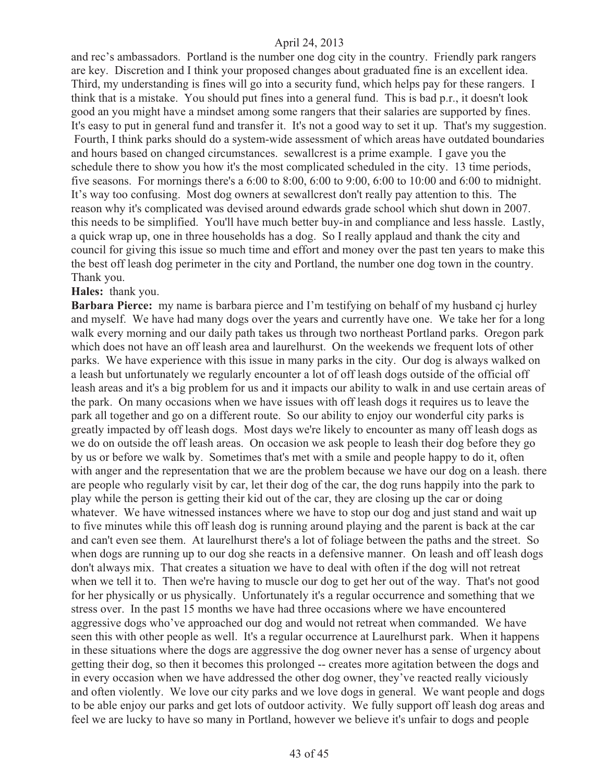and rec's ambassadors. Portland is the number one dog city in the country. Friendly park rangers are key. Discretion and I think your proposed changes about graduated fine is an excellent idea. Third, my understanding is fines will go into a security fund, which helps pay for these rangers. I think that is a mistake. You should put fines into a general fund. This is bad p.r., it doesn't look good an you might have a mindset among some rangers that their salaries are supported by fines. It's easy to put in general fund and transfer it. It's not a good way to set it up. That's my suggestion. Fourth, I think parks should do a system-wide assessment of which areas have outdated boundaries and hours based on changed circumstances. sewallcrest is a prime example. I gave you the schedule there to show you how it's the most complicated scheduled in the city. 13 time periods, five seasons. For mornings there's a 6:00 to 8:00, 6:00 to 9:00, 6:00 to 10:00 and 6:00 to midnight. It's way too confusing. Most dog owners at sewallcrest don't really pay attention to this. The reason why it's complicated was devised around edwards grade school which shut down in 2007. this needs to be simplified. You'll have much better buy-in and compliance and less hassle. Lastly, a quick wrap up, one in three households has a dog. So I really applaud and thank the city and council for giving this issue so much time and effort and money over the past ten years to make this the best off leash dog perimeter in the city and Portland, the number one dog town in the country. Thank you.

#### **Hales:** thank you.

**Barbara Pierce:** my name is barbara pierce and I'm testifying on behalf of my husband cj hurley and myself. We have had many dogs over the years and currently have one. We take her for a long walk every morning and our daily path takes us through two northeast Portland parks. Oregon park which does not have an off leash area and laurelhurst. On the weekends we frequent lots of other parks. We have experience with this issue in many parks in the city. Our dog is always walked on a leash but unfortunately we regularly encounter a lot of off leash dogs outside of the official off leash areas and it's a big problem for us and it impacts our ability to walk in and use certain areas of the park. On many occasions when we have issues with off leash dogs it requires us to leave the park all together and go on a different route. So our ability to enjoy our wonderful city parks is greatly impacted by off leash dogs. Most days we're likely to encounter as many off leash dogs as we do on outside the off leash areas. On occasion we ask people to leash their dog before they go by us or before we walk by. Sometimes that's met with a smile and people happy to do it, often with anger and the representation that we are the problem because we have our dog on a leash. there are people who regularly visit by car, let their dog of the car, the dog runs happily into the park to play while the person is getting their kid out of the car, they are closing up the car or doing whatever. We have witnessed instances where we have to stop our dog and just stand and wait up to five minutes while this off leash dog is running around playing and the parent is back at the car and can't even see them. At laurelhurst there's a lot of foliage between the paths and the street. So when dogs are running up to our dog she reacts in a defensive manner. On leash and off leash dogs don't always mix. That creates a situation we have to deal with often if the dog will not retreat when we tell it to. Then we're having to muscle our dog to get her out of the way. That's not good for her physically or us physically. Unfortunately it's a regular occurrence and something that we stress over. In the past 15 months we have had three occasions where we have encountered aggressive dogs who've approached our dog and would not retreat when commanded. We have seen this with other people as well. It's a regular occurrence at Laurelhurst park. When it happens in these situations where the dogs are aggressive the dog owner never has a sense of urgency about getting their dog, so then it becomes this prolonged -- creates more agitation between the dogs and in every occasion when we have addressed the other dog owner, they've reacted really viciously and often violently. We love our city parks and we love dogs in general. We want people and dogs to be able enjoy our parks and get lots of outdoor activity. We fully support off leash dog areas and feel we are lucky to have so many in Portland, however we believe it's unfair to dogs and people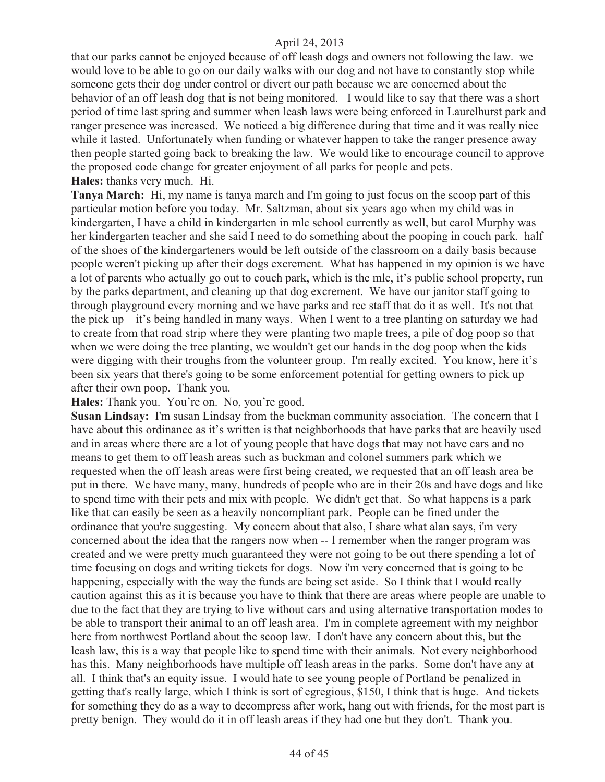that our parks cannot be enjoyed because of off leash dogs and owners not following the law. we would love to be able to go on our daily walks with our dog and not have to constantly stop while someone gets their dog under control or divert our path because we are concerned about the behavior of an off leash dog that is not being monitored. I would like to say that there was a short period of time last spring and summer when leash laws were being enforced in Laurelhurst park and ranger presence was increased. We noticed a big difference during that time and it was really nice while it lasted. Unfortunately when funding or whatever happen to take the ranger presence away then people started going back to breaking the law. We would like to encourage council to approve the proposed code change for greater enjoyment of all parks for people and pets. **Hales:** thanks very much. Hi.

**Tanya March:** Hi, my name is tanya march and I'm going to just focus on the scoop part of this particular motion before you today. Mr. Saltzman, about six years ago when my child was in kindergarten, I have a child in kindergarten in mlc school currently as well, but carol Murphy was her kindergarten teacher and she said I need to do something about the pooping in couch park. half of the shoes of the kindergarteners would be left outside of the classroom on a daily basis because people weren't picking up after their dogs excrement. What has happened in my opinion is we have a lot of parents who actually go out to couch park, which is the mlc, it's public school property, run by the parks department, and cleaning up that dog excrement. We have our janitor staff going to through playground every morning and we have parks and rec staff that do it as well. It's not that the pick  $up - it's being handled in many ways. When I went to a tree planning on saturday we had$ to create from that road strip where they were planting two maple trees, a pile of dog poop so that when we were doing the tree planting, we wouldn't get our hands in the dog poop when the kids were digging with their troughs from the volunteer group. I'm really excited. You know, here it's been six years that there's going to be some enforcement potential for getting owners to pick up after their own poop. Thank you.

**Hales:** Thank you. You're on. No, you're good.

**Susan Lindsay:** I'm susan Lindsay from the buckman community association. The concern that I have about this ordinance as it's written is that neighborhoods that have parks that are heavily used and in areas where there are a lot of young people that have dogs that may not have cars and no means to get them to off leash areas such as buckman and colonel summers park which we requested when the off leash areas were first being created, we requested that an off leash area be put in there. We have many, many, hundreds of people who are in their 20s and have dogs and like to spend time with their pets and mix with people. We didn't get that. So what happens is a park like that can easily be seen as a heavily noncompliant park. People can be fined under the ordinance that you're suggesting. My concern about that also, I share what alan says, i'm very concerned about the idea that the rangers now when -- I remember when the ranger program was created and we were pretty much guaranteed they were not going to be out there spending a lot of time focusing on dogs and writing tickets for dogs. Now i'm very concerned that is going to be happening, especially with the way the funds are being set aside. So I think that I would really caution against this as it is because you have to think that there are areas where people are unable to due to the fact that they are trying to live without cars and using alternative transportation modes to be able to transport their animal to an off leash area. I'm in complete agreement with my neighbor here from northwest Portland about the scoop law. I don't have any concern about this, but the leash law, this is a way that people like to spend time with their animals. Not every neighborhood has this. Many neighborhoods have multiple off leash areas in the parks. Some don't have any at all. I think that's an equity issue. I would hate to see young people of Portland be penalized in getting that's really large, which I think is sort of egregious, \$150, I think that is huge. And tickets for something they do as a way to decompress after work, hang out with friends, for the most part is pretty benign. They would do it in off leash areas if they had one but they don't. Thank you.